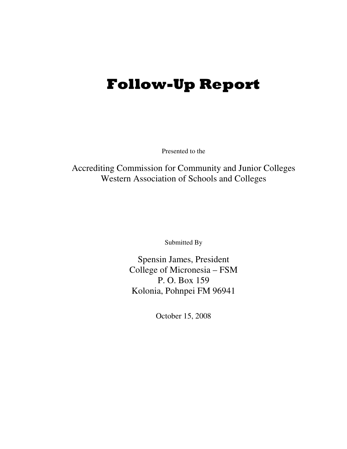# Follow-Up Report

Presented to the

Accrediting Commission for Community and Junior Colleges Western Association of Schools and Colleges

Submitted By

Spensin James, President College of Micronesia – FSM P. O. Box 159 Kolonia, Pohnpei FM 96941

October 15, 2008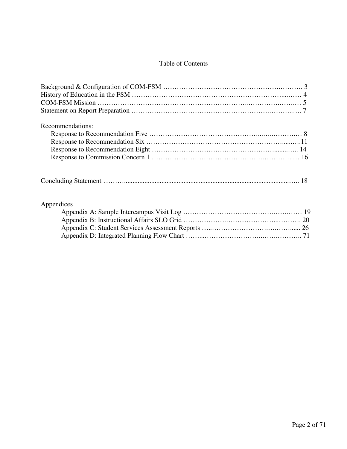#### Table of Contents

| Recommendations: |
|------------------|
|                  |
|                  |
|                  |
|                  |
|                  |
| Appendices       |
|                  |
|                  |
|                  |
|                  |
|                  |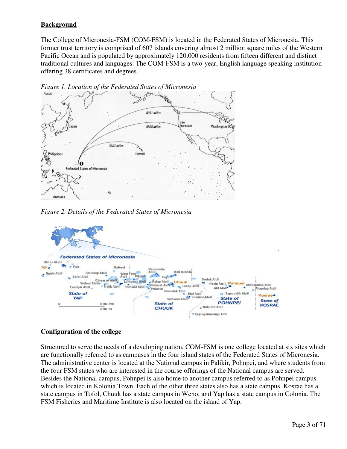#### **Background**

The College of Micronesia-FSM (COM-FSM) is located in the Federated States of Micronesia. This former trust territory is comprised of 607 islands covering almost 2 million square miles of the Western Pacific Ocean and is populated by approximately 120,000 residents from fifteen different and distinct traditional cultures and languages. The COM-FSM is a two-year, English language speaking institution offering 38 certificates and degrees.



*Figure 2. Details of the Federated States of Micronesia* 



#### **Configuration of the college**

Structured to serve the needs of a developing nation, COM-FSM is one college located at six sites which are functionally referred to as campuses in the four island states of the Federated States of Micronesia. The administrative center is located at the National campus in Palikir, Pohnpei, and where students from the four FSM states who are interested in the course offerings of the National campus are served. Besides the National campus, Pohnpei is also home to another campus referred to as Pohnpei campus which is located in Kolonia Town. Each of the other three states also has a state campus. Kosrae has a state campus in Tofol, Chuuk has a state campus in Weno, and Yap has a state campus in Colonia. The FSM Fisheries and Maritime Institute is also located on the island of Yap.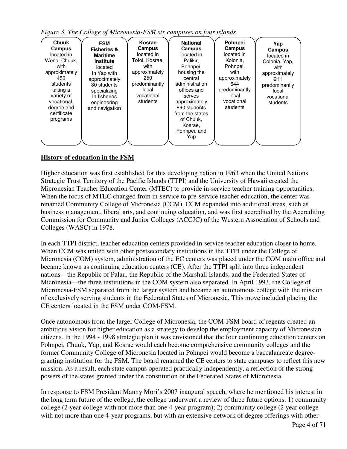*Figure 3. The College of Micronesia-FSM six campuses on four islands* 

#### **History of education in the FSM**

Higher education was first established for this developing nation in 1963 when the United Nations Strategic Trust Territory of the Pacific Islands (TTPI) and the University of Hawaii created the Micronesian Teacher Education Center (MTEC) to provide in-service teacher training opportunities. When the focus of MTEC changed from in-service to pre-service teacher education, the center was renamed Community College of Micronesia (CCM). CCM expanded into additional areas, such as business management, liberal arts, and continuing education, and was first accredited by the Accrediting Commission for Community and Junior Colleges (ACCJC) of the Western Association of Schools and Colleges (WASC) in 1978.

In each TTPI district, teacher education centers provided in-service teacher education closer to home. When CCM was united with other postsecondary institutions in the TTPI under the College of Micronesia (COM) system, administration of the EC centers was placed under the COM main office and became known as continuing education centers (CE). After the TTPI split into three independent nations—the Republic of Palau, the Republic of the Marshall Islands, and the Federated States of Micronesia—the three institutions in the COM system also separated. In April 1993, the College of Micronesia-FSM separated from the larger system and became an autonomous college with the mission of exclusively serving students in the Federated States of Micronesia. This move included placing the CE centers located in the FSM under COM-FSM.

Once autonomous from the larger College of Micronesia, the COM-FSM board of regents created an ambitious vision for higher education as a strategy to develop the employment capacity of Micronesian citizens. In the 1994 - 1998 strategic plan it was envisioned that the four continuing education centers on Pohnpei, Chuuk, Yap, and Kosrae would each become comprehensive community colleges and the former Community College of Micronesia located in Pohnpei would become a baccalaureate degreegranting institution for the FSM. The board renamed the CE centers to state campuses to reflect this new mission. As a result, each state campus operated practically independently, a reflection of the strong powers of the states granted under the constitution of the Federated States of Micronesia.

In response to FSM President Manny Mori's 2007 inaugural speech, where he mentioned his interest in the long term future of the college, the college underwent a review of three future options: 1) community college (2 year college with not more than one 4-year program); 2) community college (2 year college with not more than one 4-year programs, but with an extensive network of degree offerings with other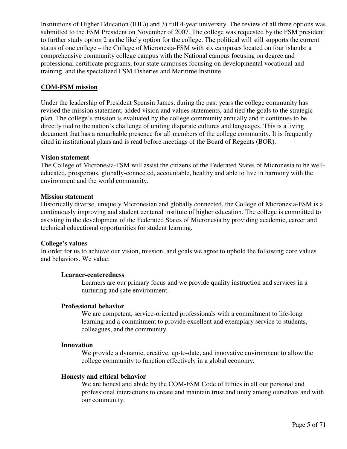Institutions of Higher Education (IHE)) and 3) full 4-year university. The review of all three options was submitted to the FSM President on November of 2007. The college was requested by the FSM president to further study option 2 as the likely option for the college. The political will still supports the current status of one college – the College of Micronesia-FSM with six campuses located on four islands: a comprehensive community college campus with the National campus focusing on degree and professional certificate programs, four state campuses focusing on developmental vocational and training, and the specialized FSM Fisheries and Maritime Institute.

#### **COM-FSM mission**

Under the leadership of President Spensin James, during the past years the college community has revised the mission statement, added vision and values statements, and tied the goals to the strategic plan. The college's mission is evaluated by the college community annually and it continues to be directly tied to the nation's challenge of uniting disparate cultures and languages. This is a living document that has a remarkable presence for all members of the college community. It is frequently cited in institutional plans and is read before meetings of the Board of Regents (BOR).

#### **Vision statement**

The College of Micronesia-FSM will assist the citizens of the Federated States of Micronesia to be welleducated, prosperous, globally-connected, accountable, healthy and able to live in harmony with the environment and the world community.

#### **Mission statement**

Historically diverse, uniquely Micronesian and globally connected, the College of Micronesia-FSM is a continuously improving and student centered institute of higher education. The college is committed to assisting in the development of the Federated States of Micronesia by providing academic, career and technical educational opportunities for student learning.

#### **College's values**

In order for us to achieve our vision, mission, and goals we agree to uphold the following core values and behaviors. We value:

#### **Learner-centeredness**

Learners are our primary focus and we provide quality instruction and services in a nurturing and safe environment.

#### **Professional behavior**

We are competent, service-oriented professionals with a commitment to life-long learning and a commitment to provide excellent and exemplary service to students, colleagues, and the community.

#### **Innovation**

We provide a dynamic, creative, up-to-date, and innovative environment to allow the college community to function effectively in a global economy.

#### **Honesty and ethical behavior**

We are honest and abide by the COM-FSM Code of Ethics in all our personal and professional interactions to create and maintain trust and unity among ourselves and with our community.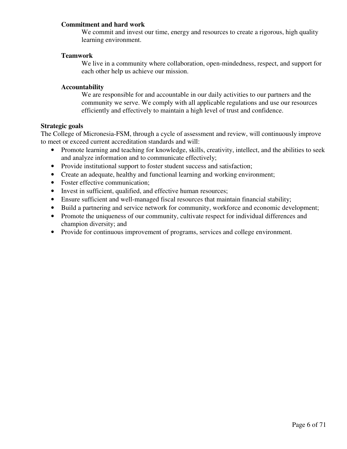#### **Commitment and hard work**

We commit and invest our time, energy and resources to create a rigorous, high quality learning environment.

#### **Teamwork**

We live in a community where collaboration, open-mindedness, respect, and support for each other help us achieve our mission.

#### **Accountability**

We are responsible for and accountable in our daily activities to our partners and the community we serve. We comply with all applicable regulations and use our resources efficiently and effectively to maintain a high level of trust and confidence.

#### **Strategic goals**

The College of Micronesia-FSM, through a cycle of assessment and review, will continuously improve to meet or exceed current accreditation standards and will:

- Promote learning and teaching for knowledge, skills, creativity, intellect, and the abilities to seek and analyze information and to communicate effectively;
- Provide institutional support to foster student success and satisfaction;
- Create an adequate, healthy and functional learning and working environment;
- Foster effective communication;
- Invest in sufficient, qualified, and effective human resources;
- Ensure sufficient and well-managed fiscal resources that maintain financial stability;
- Build a partnering and service network for community, workforce and economic development;
- Promote the uniqueness of our community, cultivate respect for individual differences and champion diversity; and
- Provide for continuous improvement of programs, services and college environment.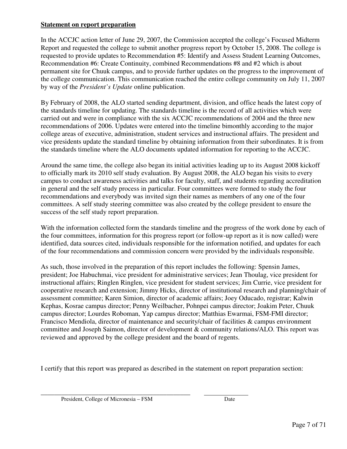#### **Statement on report preparation**

In the ACCJC action letter of June 29, 2007, the Commission accepted the college's Focused Midterm Report and requested the college to submit another progress report by October 15, 2008. The college is requested to provide updates to Recommendation #5: Identify and Assess Student Learning Outcomes, Recommendation #6: Create Continuity, combined Recommendations #8 and #2 which is about permanent site for Chuuk campus, and to provide further updates on the progress to the improvement of the college communication. This communication reached the entire college community on July 11, 2007 by way of the *President's Update* online publication.

By February of 2008, the ALO started sending department, division, and office heads the latest copy of the standards timeline for updating. The standards timeline is the record of all activities which were carried out and were in compliance with the six ACCJC recommendations of 2004 and the three new recommendations of 2006. Updates were entered into the timeline bimonthly according to the major college areas of executive, administration, student services and instructional affairs. The president and vice presidents update the standard timeline by obtaining information from their subordinates. It is from the standards timeline where the ALO documents updated information for reporting to the ACCJC.

Around the same time, the college also began its initial activities leading up to its August 2008 kickoff to officially mark its 2010 self study evaluation. By August 2008, the ALO began his visits to every campus to conduct awareness activities and talks for faculty, staff, and students regarding accreditation in general and the self study process in particular. Four committees were formed to study the four recommendations and everybody was invited sign their names as members of any one of the four committees. A self study steering committee was also created by the college president to ensure the success of the self study report preparation.

With the information collected form the standards timeline and the progress of the work done by each of the four committees, information for this progress report (or follow-up report as it is now called) were identified, data sources cited, individuals responsible for the information notified, and updates for each of the four recommendations and commission concern were provided by the individuals responsible.

As such, those involved in the preparation of this report includes the following: Spensin James, president; Joe Habuchmai, vice president for administrative services; Jean Thoulag, vice president for instructional affairs; Ringlen Ringlen, vice president for student services; Jim Currie, vice president for cooperative research and extension; Jimmy Hicks, director of institutional research and planning/chair of assessment committee; Karen Simion, director of academic affairs; Joey Oducado, registrar; Kalwin Kephas, Kosrae campus director; Penny Weilbacher, Pohnpei campus director; Joakim Peter, Chuuk campus director; Lourdes Roboman, Yap campus director; Matthias Ewarmai, FSM-FMI director; Francisco Mendiola, director of maintenance and security/chair of facilities & campus environment committee and Joseph Saimon, director of development & community relations/ALO. This report was reviewed and approved by the college president and the board of regents.

I certify that this report was prepared as described in the statement on report preparation section:

\_\_\_\_\_\_\_\_\_\_\_\_\_\_\_\_\_\_\_\_\_\_\_\_\_\_\_\_\_\_\_\_\_\_\_\_\_\_\_\_\_\_\_\_ .

President, College of Micronesia – FSM Date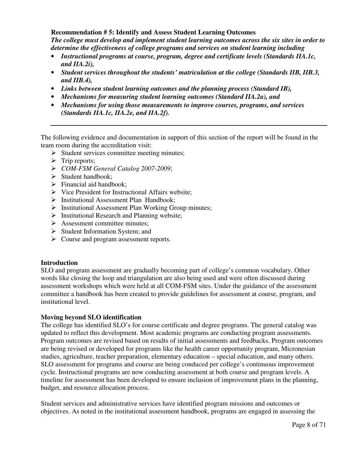#### **Recommendation # 5: Identify and Assess Student Learning Outcomes**

*The college must develop and implement student learning outcomes across the six sites in order to determine the effectiveness of college programs and services on student learning including* 

- *Instructional programs at course, program, degree and certificate levels (Standards IIA.1c, and IIA.2i),*
- *Student services throughout the students' matriculation at the college (Standards IIB, IIB.3, and IIB.4),*
- *Links between student learning outcomes and the planning process (Standard IB),*
- *Mechanisms for measuring student learning outcomes (Standard IIA.2a), and*
- *Mechanisms for using those measurements to improve courses, programs, and services (Standards IIA.1c, IIA.2e, and IIA.2f).*

The following evidence and documentation in support of this section of the report will be found in the team room during the accreditation visit:

- $\triangleright$  Student services committee meeting minutes;
- $\triangleright$  Trip reports;
- *COM-FSM General Catalog 2007-2009*;
- $\triangleright$  Student handbook:
- $\triangleright$  Financial aid handbook;
- $\triangleright$  Vice President for Instructional Affairs website;
- > Institutional Assessment Plan Handbook;
- $\triangleright$  Institutional Assessment Plan Working Group minutes;
- $\triangleright$  Institutional Research and Planning website;
- $\triangleright$  Assessment committee minutes;
- $\triangleright$  Student Information System; and
- $\triangleright$  Course and program assessment reports.

#### **Introduction**

SLO and program assessment are gradually becoming part of college's common vocabulary. Other words like closing the loop and triangulation are also being used and were often discussed during assessment workshops which were held at all COM-FSM sites. Under the guidance of the assessment committee a handbook has been created to provide guidelines for assessment at course, program, and institutional level.

#### **Moving beyond SLO identification**

The college has identified SLO's for course certificate and degree programs. The general catalog was updated to reflect this development. Most academic programs are conducting program assessments. Program outcomes are revised based on results of initial assessments and feedbacks. Program outcomes are being revised or developed for programs like the health career opportunity program, Micronesian studies, agriculture, teacher preparation, elementary education – special education, and many others. SLO assessment for programs and course are being conduced per college's continuous improvement cycle. Instructional programs are now conducting assessment at both course and program levels. A timeline for assessment has been developed to ensure inclusion of improvement plans in the planning, budget, and resource allocation process.

Student services and administrative services have identified program missions and outcomes or objectives. As noted in the institutional assessment handbook, programs are engaged in assessing the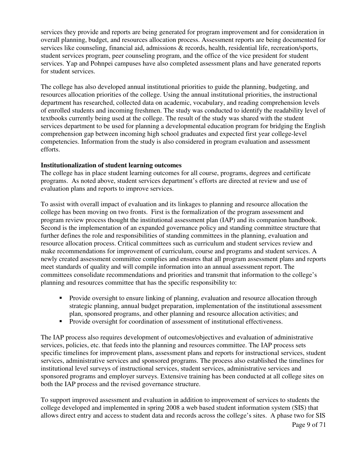services they provide and reports are being generated for program improvement and for consideration in overall planning, budget, and resources allocation process. Assessment reports are being documented for services like counseling, financial aid, admissions & records, health, residential life, recreation/sports, student services program, peer counseling program, and the office of the vice president for student services. Yap and Pohnpei campuses have also completed assessment plans and have generated reports for student services.

The college has also developed annual institutional priorities to guide the planning, budgeting, and resources allocation priorities of the college. Using the annual institutional priorities, the instructional department has researched, collected data on academic, vocabulary, and reading comprehension levels of enrolled students and incoming freshmen. The study was conducted to identify the readability level of textbooks currently being used at the college. The result of the study was shared with the student services department to be used for planning a developmental education program for bridging the English comprehension gap between incoming high school graduates and expected first year college-level competencies. Information from the study is also considered in program evaluation and assessment efforts.

#### **Institutionalization of student learning outcomes**

The college has in place student learning outcomes for all course, programs, degrees and certificate programs. As noted above, student services department's efforts are directed at review and use of evaluation plans and reports to improve services.

To assist with overall impact of evaluation and its linkages to planning and resource allocation the college has been moving on two fronts. First is the formalization of the program assessment and program review process thought the institutional assessment plan (IAP) and its companion handbook. Second is the implementation of an expanded governance policy and standing committee structure that further defines the role and responsibilities of standing committees in the planning, evaluation and resource allocation process. Critical committees such as curriculum and student services review and make recommendations for improvement of curriculum, course and programs and student services. A newly created assessment committee complies and ensures that all program assessment plans and reports meet standards of quality and will compile information into an annual assessment report. The committees consolidate recommendations and priorities and transmit that information to the college's planning and resources committee that has the specific responsibility to:

- - Provide oversight to ensure linking of planning, evaluation and resource allocation through strategic planning, annual budget preparation, implementation of the institutional assessment plan, sponsored programs, and other planning and resource allocation activities; and
- -Provide oversight for coordination of assessment of institutional effectiveness.

The IAP process also requires development of outcomes/objectives and evaluation of administrative services, policies, etc. that feeds into the planning and resources committee. The IAP process sets specific timelines for improvement plans, assessment plans and reports for instructional services, student services, administrative services and sponsored programs. The process also established the timelines for institutional level surveys of instructional services, student services, administrative services and sponsored programs and employer surveys. Extensive training has been conducted at all college sites on both the IAP process and the revised governance structure.

To support improved assessment and evaluation in addition to improvement of services to students the college developed and implemented in spring 2008 a web based student information system (SIS) that allows direct entry and access to student data and records across the college's sites. A phase two for SIS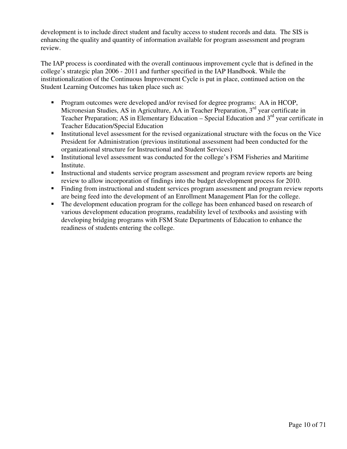development is to include direct student and faculty access to student records and data. The SIS is enhancing the quality and quantity of information available for program assessment and program review.

The IAP process is coordinated with the overall continuous improvement cycle that is defined in the college's strategic plan 2006 - 2011 and further specified in the IAP Handbook. While the institutionalization of the Continuous Improvement Cycle is put in place, continued action on the Student Learning Outcomes has taken place such as:

- Program outcomes were developed and/or revised for degree programs: AA in HCOP, Micronesian Studies, AS in Agriculture, AA in Teacher Preparation, 3<sup>rd</sup> year certificate in Teacher Preparation; AS in Elementary Education – Special Education and  $3<sup>rd</sup>$  year certificate in Teacher Education/Special Education
- **Institutional level assessment for the revised organizational structure with the focus on the Vice** President for Administration (previous institutional assessment had been conducted for the organizational structure for Instructional and Student Services)
- **Institutional level assessment was conducted for the college's FSM Fisheries and Maritime** Institute.
- **Instructional and students service program assessment and program review reports are being** review to allow incorporation of findings into the budget development process for 2010.
- Finding from instructional and student services program assessment and program review reports are being feed into the development of an Enrollment Management Plan for the college.
- - The development education program for the college has been enhanced based on research of various development education programs, readability level of textbooks and assisting with developing bridging programs with FSM State Departments of Education to enhance the readiness of students entering the college.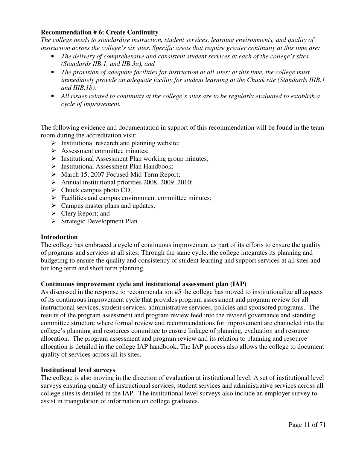#### **Recommendation # 6: Create Continuity**

*The college needs to standardize instruction, student services, learning environments, and quality of instruction across the college's six sites. Specific areas that require greater continuity at this time are:* 

- *The delivery of comprehensive and consistent student services at each of the college's sites (Standards IIB.1, and IIB.3a), and*
- *The provision of adequate facilities for instruction at all sites; at this time, the college must immediately provide an adequate facility for student learning at the Chuuk site (Standards IIIB.1 and IIIB.1b).*
- *All issues related to continuity at the college's sites are to be regularly evaluated to establish a cycle of improvement.*

The following evidence and documentation in support of this recommendation will be found in the team room during the accreditation visit:

- $\triangleright$  Institutional research and planning website;
- $\triangleright$  Assessment committee minutes;
- $\triangleright$  Institutional Assessment Plan working group minutes;
- $\triangleright$  Institutional Assessment Plan Handbook:
- March 15, 2007 Focused Mid Term Report;
- $\blacktriangleright$  Annual institutional priorities 2008, 2009, 2010;
- $\triangleright$  Chuuk campus photo CD;
- $\triangleright$  Facilities and campus environment committee minutes;
- $\triangleright$  Campus master plans and updates;
- $\triangleright$  Clery Report; and
- $\triangleright$  Strategic Development Plan.

#### **Introduction**

The college has embraced a cycle of continuous improvement as part of its efforts to ensure the quality of programs and services at all sites. Through the same cycle, the college integrates its planning and budgeting to ensure the quality and consistency of student learning and support services at all sites and for long term and short term planning.

#### **Continuous improvement cycle and institutional assessment plan (IAP)**

As discussed in the response to recommendation #5 the college has moved to institutionalize all aspects of its continuous improvement cycle that provides program assessment and program review for all instructional services, student services, administrative services, policies and sponsored programs. The results of the program assessment and program review feed into the revised governance and standing committee structure where formal review and recommendations for improvement are channeled into the college's planning and resources committee to ensure linkage of planning, evaluation and resource allocation. The program assessment and program review and its relation to planning and resource allocation is detailed in the college IAP handbook. The IAP process also allows the college to document quality of services across all its sites.

#### **Institutional level surveys**

The college is also moving in the direction of evaluation at institutional level. A set of institutional level surveys ensuring quality of instructional services, student services and administrative services across all college sites is detailed in the IAP. The institutional level surveys also include an employer survey to assist in triangulation of information on college graduates.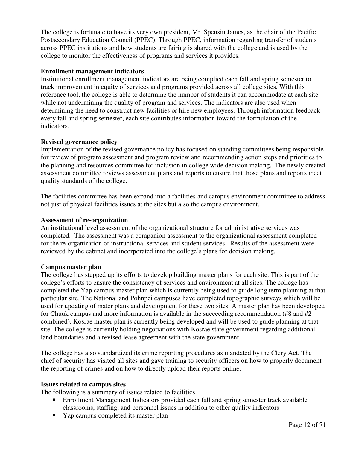The college is fortunate to have its very own president, Mr. Spensin James, as the chair of the Pacific Postsecondary Education Council (PPEC). Through PPEC, information regarding transfer of students across PPEC institutions and how students are fairing is shared with the college and is used by the college to monitor the effectiveness of programs and services it provides.

#### **Enrollment management indicators**

Institutional enrollment management indicators are being complied each fall and spring semester to track improvement in equity of services and programs provided across all college sites. With this reference tool, the college is able to determine the number of students it can accommodate at each site while not undermining the quality of program and services. The indicators are also used when determining the need to construct new facilities or hire new employees. Through information feedback every fall and spring semester, each site contributes information toward the formulation of the indicators.

#### **Revised governance policy**

Implementation of the revised governance policy has focused on standing committees being responsible for review of program assessment and program review and recommending action steps and priorities to the planning and resources committee for inclusion in college wide decision making. The newly created assessment committee reviews assessment plans and reports to ensure that those plans and reports meet quality standards of the college.

The facilities committee has been expand into a facilities and campus environment committee to address not just of physical facilities issues at the sites but also the campus environment.

#### **Assessment of re-organization**

An institutional level assessment of the organizational structure for administrative services was completed. The assessment was a companion assessment to the organizational assessment completed for the re-organization of instructional services and student services. Results of the assessment were reviewed by the cabinet and incorporated into the college's plans for decision making.

#### **Campus master plan**

The college has stepped up its efforts to develop building master plans for each site. This is part of the college's efforts to ensure the consistency of services and environment at all sites. The college has completed the Yap campus master plan which is currently being used to guide long term planning at that particular site. The National and Pohnpei campuses have completed topographic surveys which will be used for updating of mater plans and development for these two sites. A master plan has been developed for Chuuk campus and more information is available in the succeeding recommendation (#8 and #2 combined). Kosrae master plan is currently being developed and will be used to guide planning at that site. The college is currently holding negotiations with Kosrae state government regarding additional land boundaries and a revised lease agreement with the state government.

The college has also standardized its crime reporting procedures as mandated by the Clery Act. The chief of security has visited all sites and gave training to security officers on how to properly document the reporting of crimes and on how to directly upload their reports online.

#### **Issues related to campus sites**

The following is a summary of issues related to facilities

- **Enrollment Management Indicators provided each fall and spring semester track available** classrooms, staffing, and personnel issues in addition to other quality indicators
- Yap campus completed its master plan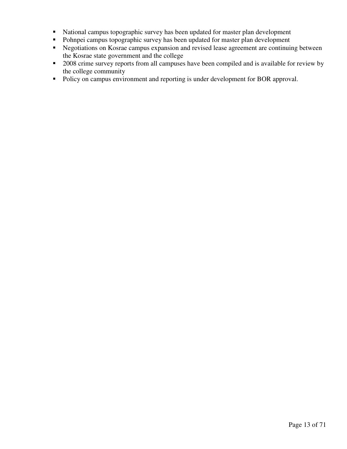- National campus topographic survey has been updated for master plan development
- Pohnpei campus topographic survey has been updated for master plan development
- **EXECUTE:** Negotiations on Kosrae campus expansion and revised lease agreement are continuing between the Kosrae state government and the college
- 2008 crime survey reports from all campuses have been compiled and is available for review by the college community
- Policy on campus environment and reporting is under development for BOR approval.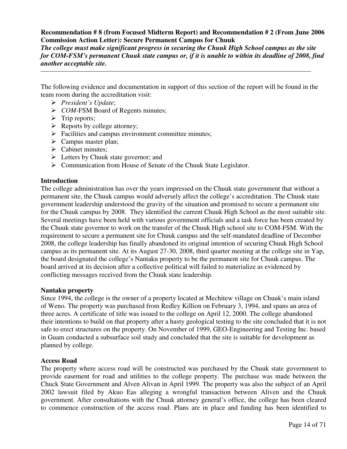#### **Recommendation # 8 (from Focused Midterm Report) and Recommendation # 2 (From June 2006 Commission Action Letter): Secure Permanent Campus for Chuuk**

*The college must make significant progress in securing the Chuuk High School campus as the site for COM-FSM's permanent Chuuk state campus or, if it is unable to within its deadline of 2008, find another acceptable site.* 

The following evidence and documentation in support of this section of the report will be found in the team room during the accreditation visit:

- *President's Update*;
- *COM*-FSM Board of Regents minutes;
- $\triangleright$  Trip reports;
- $\triangleright$  Reports by college attorney;
- $\triangleright$  Facilities and campus environment committee minutes;
- $\triangleright$  Campus master plan;
- $\triangleright$  Cabinet minutes;
- $\triangleright$  Letters by Chuuk state governor; and
- Communication from House of Senate of the Chuuk State Legislator.

#### **Introduction**

The college administration has over the years impressed on the Chuuk state government that without a permanent site, the Chuuk campus would adversely affect the college's accreditation. The Chuuk state government leadership understood the gravity of the situation and promised to secure a permanent site for the Chuuk campus by 2008. They identified the current Chuuk High School as the most suitable site. Several meetings have been held with various government officials and a task force has been created by the Chuuk state governor to work on the transfer of the Chuuk High school site to COM-FSM. With the requirement to secure a permanent site for Chuuk campus and the self-mandated deadline of December 2008, the college leadership has finally abandoned its original intention of securing Chuuk High School campus as its permanent site. At its August 27-30, 2008, third quarter meeting at the college site in Yap, the board designated the college's Nantaku property to be the permanent site for Chuuk campus. The board arrived at its decision after a collective political will failed to materialize as evidenced by conflicting messages received from the Chuuk state leadership.

#### **Nantaku property**

Since 1994, the college is the owner of a property located at Mechitew village on Chuuk's main island of Weno. The property was purchased from Redley Killion on February 3, 1994, and spans an area of three acres. A certificate of title was issued to the college on April 12, 2000. The college abandoned their intentions to build on that property after a hasty geological testing to the site concluded that it is not safe to erect structures on the property. On November of 1999, GEO-Engineering and Testing Inc. based in Guam conducted a subsurface soil study and concluded that the site is suitable for development as planned by college.

#### **Access Road**

The property where access road will be constructed was purchased by the Chuuk state government to provide easement for road and utilities to the college property. The purchase was made between the Chuck State Government and Alven Alivan in April 1999. The property was also the subject of an April 2002 lawsuit filed by Akuo Eas alleging a wrongful transaction between Aliven and the Chuuk government. After consultations with the Chuuk attorney general's office, the college has been cleared to commence construction of the access road. Plans are in place and funding has been identified to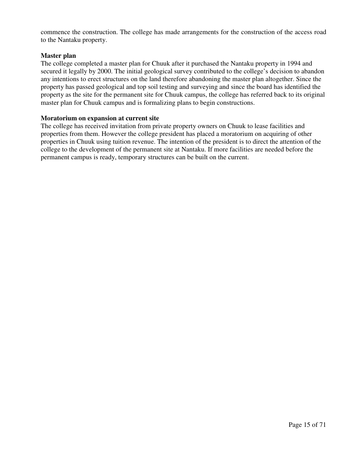commence the construction. The college has made arrangements for the construction of the access road to the Nantaku property.

#### **Master plan**

The college completed a master plan for Chuuk after it purchased the Nantaku property in 1994 and secured it legally by 2000. The initial geological survey contributed to the college's decision to abandon any intentions to erect structures on the land therefore abandoning the master plan altogether. Since the property has passed geological and top soil testing and surveying and since the board has identified the property as the site for the permanent site for Chuuk campus, the college has referred back to its original master plan for Chuuk campus and is formalizing plans to begin constructions.

#### **Moratorium on expansion at current site**

The college has received invitation from private property owners on Chuuk to lease facilities and properties from them. However the college president has placed a moratorium on acquiring of other properties in Chuuk using tuition revenue. The intention of the president is to direct the attention of the college to the development of the permanent site at Nantaku. If more facilities are needed before the permanent campus is ready, temporary structures can be built on the current.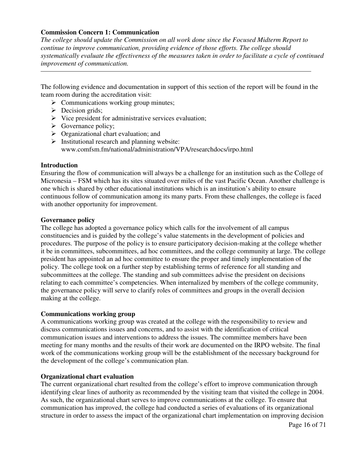#### **Commission Concern 1: Communication**

*The college should update the Commission on all work done since the Focused Midterm Report to continue to improve communication, providing evidence of those efforts. The college should systematically evaluate the effectiveness of the measures taken in order to facilitate a cycle of continued improvement of communication.*

The following evidence and documentation in support of this section of the report will be found in the team room during the accreditation visit:

- $\triangleright$  Communications working group minutes;
- $\triangleright$  Decision grids;
- $\triangleright$  Vice president for administrative services evaluation;
- $\triangleright$  Governance policy;
- $\triangleright$  Organizational chart evaluation; and
- $\triangleright$  Institutional research and planning website: www.comfsm.fm/national/administration/VPA/researchdocs/irpo.html

#### **Introduction**

Ensuring the flow of communication will always be a challenge for an institution such as the College of Micronesia – FSM which has its sites situated over miles of the vast Pacific Ocean. Another challenge is one which is shared by other educational institutions which is an institution's ability to ensure continuous follow of communication among its many parts. From these challenges, the college is faced with another opportunity for improvement.

#### **Governance policy**

The college has adopted a governance policy which calls for the involvement of all campus constituencies and is guided by the college's value statements in the development of policies and procedures. The purpose of the policy is to ensure participatory decision-making at the college whether it be in committees, subcommittees, ad hoc committees, and the college community at large. The college president has appointed an ad hoc committee to ensure the proper and timely implementation of the policy. The college took on a further step by establishing terms of reference for all standing and subcommittees at the college. The standing and sub committees advise the president on decisions relating to each committee's competencies. When internalized by members of the college community, the governance policy will serve to clarify roles of committees and groups in the overall decision making at the college.

#### **Communications working group**

A communications working group was created at the college with the responsibility to review and discuss communications issues and concerns, and to assist with the identification of critical communication issues and interventions to address the issues. The committee members have been meeting for many months and the results of their work are documented on the IRPO website. The final work of the communications working group will be the establishment of the necessary background for the development of the college's communication plan.

#### **Organizational chart evaluation**

The current organizational chart resulted from the college's effort to improve communication through identifying clear lines of authority as recommended by the visiting team that visited the college in 2004. As such, the organizational chart serves to improve communications at the college. To ensure that communication has improved, the college had conducted a series of evaluations of its organizational structure in order to assess the impact of the organizational chart implementation on improving decision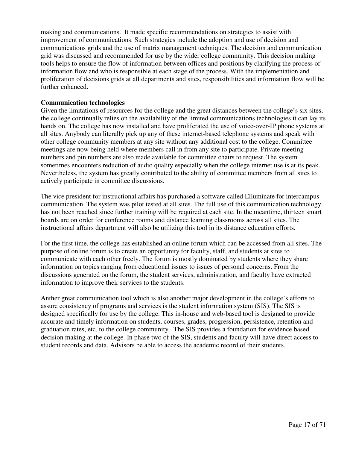making and communications. It made specific recommendations on strategies to assist with improvement of communications. Such strategies include the adoption and use of decision and communications grids and the use of matrix management techniques. The decision and communication grid was discussed and recommended for use by the wider college community. This decision making tools helps to ensure the flow of information between offices and positions by clarifying the process of information flow and who is responsible at each stage of the process. With the implementation and proliferation of decisions grids at all departments and sites, responsibilities and information flow will be further enhanced.

#### **Communication technologies**

Given the limitations of resources for the college and the great distances between the college's six sites, the college continually relies on the availability of the limited communications technologies it can lay its hands on. The college has now installed and have proliferated the use of voice-over-IP phone systems at all sites. Anybody can literally pick up any of these internet-based telephone systems and speak with other college community members at any site without any additional cost to the college. Committee meetings are now being held where members call in from any site to participate. Private meeting numbers and pin numbers are also made available for committee chairs to request. The system sometimes encounters reduction of audio quality especially when the college internet use is at its peak. Nevertheless, the system has greatly contributed to the ability of committee members from all sites to actively participate in committee discussions.

The vice president for instructional affairs has purchased a software called Elluminate for intercampus communication. The system was pilot tested at all sites. The full use of this communication technology has not been reached since further training will be required at each site. In the meantime, thirteen smart boards are on order for conference rooms and distance learning classrooms across all sites. The instructional affairs department will also be utilizing this tool in its distance education efforts.

For the first time, the college has established an online forum which can be accessed from all sites. The purpose of online forum is to create an opportunity for faculty, staff, and students at sites to communicate with each other freely. The forum is mostly dominated by students where they share information on topics ranging from educational issues to issues of personal concerns. From the discussions generated on the forum, the student services, administration, and faculty have extracted information to improve their services to the students.

Anther great communication tool which is also another major development in the college's efforts to assure consistency of programs and services is the student information system (SIS). The SIS is designed specifically for use by the college. This in-house and web-based tool is designed to provide accurate and timely information on students, courses, grades, progression, persistence, retention and graduation rates, etc. to the college community. The SIS provides a foundation for evidence based decision making at the college. In phase two of the SIS, students and faculty will have direct access to student records and data. Advisors be able to access the academic record of their students.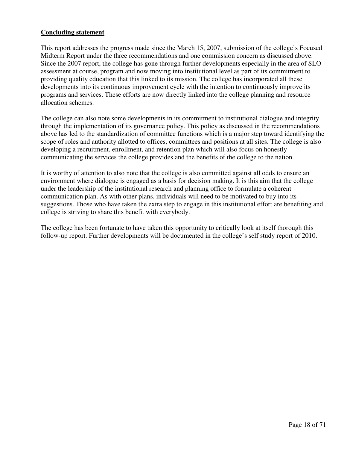#### **Concluding statement**

This report addresses the progress made since the March 15, 2007, submission of the college's Focused Midterm Report under the three recommendations and one commission concern as discussed above. Since the 2007 report, the college has gone through further developments especially in the area of SLO assessment at course, program and now moving into institutional level as part of its commitment to providing quality education that this linked to its mission. The college has incorporated all these developments into its continuous improvement cycle with the intention to continuously improve its programs and services. These efforts are now directly linked into the college planning and resource allocation schemes.

The college can also note some developments in its commitment to institutional dialogue and integrity through the implementation of its governance policy. This policy as discussed in the recommendations above has led to the standardization of committee functions which is a major step toward identifying the scope of roles and authority allotted to offices, committees and positions at all sites. The college is also developing a recruitment, enrollment, and retention plan which will also focus on honestly communicating the services the college provides and the benefits of the college to the nation.

It is worthy of attention to also note that the college is also committed against all odds to ensure an environment where dialogue is engaged as a basis for decision making. It is this aim that the college under the leadership of the institutional research and planning office to formulate a coherent communication plan. As with other plans, individuals will need to be motivated to buy into its suggestions. Those who have taken the extra step to engage in this institutional effort are benefiting and college is striving to share this benefit with everybody.

The college has been fortunate to have taken this opportunity to critically look at itself thorough this follow-up report. Further developments will be documented in the college's self study report of 2010.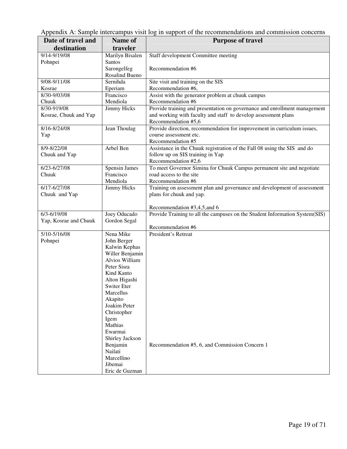Appendix A: Sample intercampus visit log in support of the recommendations and commission concerns

| Date of travel and    | Name of                      | <b>Purpose of travel</b>                                                                         |
|-----------------------|------------------------------|--------------------------------------------------------------------------------------------------|
| destination           | traveler                     |                                                                                                  |
| 9/14-9/19/08          | Marilyn Bisalen              | Staff development Committee meeting                                                              |
| Pohnpei               | Santos                       |                                                                                                  |
|                       | Sarongelfeg                  | Recommendation #6                                                                                |
|                       | Rosalind Bueno               |                                                                                                  |
| 9/08-9/11/08          | Sernihda                     | Site visit and training on the SIS                                                               |
| Kosrae                | Eperiam                      | Recommendation #6,                                                                               |
| 8/30-9/03/08          | Francisco                    | Assist with the generator problem at chuuk campus                                                |
| Chuuk                 | Mendiola                     | Recommendation #6                                                                                |
| 8/30-919/08           | Jimmy Hicks                  | Provide training and presentation on governance and enrollment management                        |
| Kosrae, Chuuk and Yap |                              | and working with faculty and staff to develop assessment plans                                   |
|                       |                              | Recommendation #5,6                                                                              |
| 8/16-8/24/08          | Jean Thoulag                 | Provide direction, recommendation for improvement in curriculum issues,                          |
| Yap                   |                              | course assessment etc.                                                                           |
|                       |                              | Recommendation #5                                                                                |
| 8/9-8/22/08           | Arbel Ben                    | Assistance in the Chuuk registration of the Fall 08 using the SIS and do                         |
| Chuuk and Yap         |                              | follow up on SIS training in Yap<br>Recommendation #2,6                                          |
| 6/23-6/27/08          | Spensin James                |                                                                                                  |
| Chuuk                 | Francisco                    | To meet Governor Simina for Chuuk Campus permanent site and negotiate<br>road access to the site |
|                       | Mendiola                     | Recommendation #6                                                                                |
| $6/17 - 6/27/08$      | Jimmy Hicks                  | Training on assessment plan and governance and development of assessment                         |
| Chuuk and Yap         |                              | plans for chuuk and yap.                                                                         |
|                       |                              |                                                                                                  |
|                       |                              | Recommendation #3,4,5, and 6                                                                     |
| $6/3 - 6/19/08$       | Joey Oducado                 | Provide Training to all the campuses on the Student Information System(SIS)                      |
| Yap, Kosrae and Chuuk | Gordon Segal                 |                                                                                                  |
|                       |                              | Recommendation #6                                                                                |
| 5/10-5/16/08          | Nena Mike                    | President's Retreat                                                                              |
| Pohnpei               | John Berger                  |                                                                                                  |
|                       | Kalwin Kephas                |                                                                                                  |
|                       | Willer Benjamin              |                                                                                                  |
|                       | Alvios William               |                                                                                                  |
|                       | Peter Sisra                  |                                                                                                  |
|                       | Kind Kanto                   |                                                                                                  |
|                       | Alton Higashi<br>Switer Eter |                                                                                                  |
|                       | Marcellus                    |                                                                                                  |
|                       | Akapito                      |                                                                                                  |
|                       | Joakim Peter                 |                                                                                                  |
|                       | Christopher                  |                                                                                                  |
|                       | Igem                         |                                                                                                  |
|                       | Mathias                      |                                                                                                  |
|                       | Ewarmai                      |                                                                                                  |
|                       | Shirley Jackson              |                                                                                                  |
|                       | Benjamin                     | Recommendation #5, 6, and Commission Concern 1                                                   |
|                       | Nailati                      |                                                                                                  |
|                       | Marcellino                   |                                                                                                  |
|                       | Jibemai                      |                                                                                                  |
|                       | Eric de Guzman               |                                                                                                  |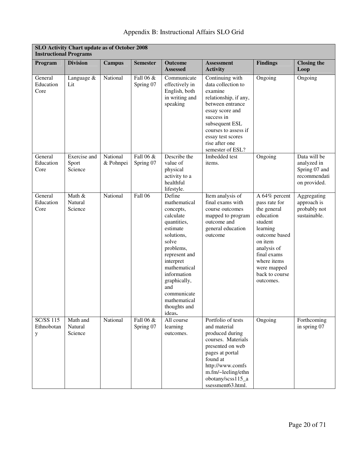| Appendix B: Instructional Affairs SLO Grid |  |  |  |  |
|--------------------------------------------|--|--|--|--|
|--------------------------------------------|--|--|--|--|

| SLO Activity Chart update as of October 2008<br><b>Instructional Programs</b> |                                  |                       |                        |                                                                                                                                                                                                                                                              |                                                                                                                                                                                                                                     |                                                                                                                                                                                                          |                                                                              |
|-------------------------------------------------------------------------------|----------------------------------|-----------------------|------------------------|--------------------------------------------------------------------------------------------------------------------------------------------------------------------------------------------------------------------------------------------------------------|-------------------------------------------------------------------------------------------------------------------------------------------------------------------------------------------------------------------------------------|----------------------------------------------------------------------------------------------------------------------------------------------------------------------------------------------------------|------------------------------------------------------------------------------|
| Program                                                                       | <b>Division</b>                  | <b>Campus</b>         | <b>Semester</b>        | <b>Outcome</b><br><b>Assessed</b>                                                                                                                                                                                                                            | <b>Assessment</b><br><b>Activity</b>                                                                                                                                                                                                | <b>Findings</b>                                                                                                                                                                                          | <b>Closing the</b><br>Loop                                                   |
| General<br>Education<br>Core                                                  | Language &<br>Lit                | National              | Fall 06 &<br>Spring 07 | Communicate<br>effectively in<br>English, both<br>in writing and<br>speaking                                                                                                                                                                                 | Continuing with<br>data collection to<br>examine<br>relationship, if any,<br>between entrance<br>essay score and<br>success in<br>subsequent ESL<br>courses to assess if<br>essay test scores<br>rise after one<br>semester of ESL? | Ongoing                                                                                                                                                                                                  | Ongoing                                                                      |
| General<br>Education<br>Core                                                  | Exercise and<br>Sport<br>Science | National<br>& Pohnpei | Fall 06 &<br>Spring 07 | Describe the<br>value of<br>physical<br>activity to a<br>healthful<br>lifestyle.                                                                                                                                                                             | Imbedded test<br>items.                                                                                                                                                                                                             | Ongoing                                                                                                                                                                                                  | Data will be<br>analyzed in<br>Spring 07 and<br>recommendati<br>on provided. |
| General<br>Education<br>Core                                                  | Math $&$<br>Natural<br>Science   | National              | Fall 06                | Define<br>mathematical<br>concepts,<br>calculate<br>quantities,<br>estimate<br>solutions,<br>solve<br>problems,<br>represent and<br>interpret<br>mathematical<br>information<br>graphically,<br>and<br>communicate<br>mathematical<br>thoughts and<br>ideas. | Item analysis of<br>final exams with<br>course outcomes<br>mapped to program<br>outcome and<br>general education<br>outcome                                                                                                         | A 64% percent<br>pass rate for<br>the general<br>education<br>student<br>learning<br>outcome based<br>on item<br>analysis of<br>final exams<br>where items<br>were mapped<br>back to course<br>outcomes. | Aggregating<br>approach is<br>probably not<br>sustainable.                   |
| <b>SC/SS 115</b><br>Ethnobotan<br>y                                           | Math and<br>Natural<br>Science   | National              | Fall 06 &<br>Spring 07 | All course<br>learning<br>outcomes.                                                                                                                                                                                                                          | Portfolio of tests<br>and material<br>produced during<br>courses. Materials<br>presented on web<br>pages at portal<br>found at<br>http://www.comfs<br>m.fm/~leeling/ethn<br>obotany/scss115_a<br>ssessment63.html.                  | Ongoing                                                                                                                                                                                                  | Forthcoming<br>in spring 07                                                  |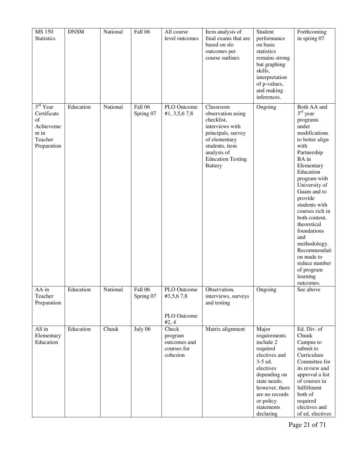| MS 150<br><b>Statistics</b>                                                               | <b>DNSM</b> | National | Fall 06              | All course<br>level outcomes                                | Item analysis of<br>final exams that are<br>based on slo<br>outcomes per<br>course outlines                                                                                           | Student<br>performance<br>on basic<br>statistics<br>remains strong<br>but graphing<br>skills,<br>interpretation<br>of p-values,<br>and making<br>inferences.                                        | Forthcoming<br>in spring 07                                                                                                                                                                                                                                                                                                                                                                              |
|-------------------------------------------------------------------------------------------|-------------|----------|----------------------|-------------------------------------------------------------|---------------------------------------------------------------------------------------------------------------------------------------------------------------------------------------|-----------------------------------------------------------------------------------------------------------------------------------------------------------------------------------------------------|----------------------------------------------------------------------------------------------------------------------------------------------------------------------------------------------------------------------------------------------------------------------------------------------------------------------------------------------------------------------------------------------------------|
| 3 <sup>rd</sup> Year<br>Certificate<br>of<br>Achieveme<br>nt in<br>Teacher<br>Preparation | Education   | National | Fall 06<br>Spring 07 | PLO Outcome<br>#1, 3,5,67,8                                 | Classroom<br>observation using<br>checklist,<br>interviews with<br>principals, survey<br>of elementary<br>students, item<br>analysis of<br><b>Education Testing</b><br><b>Battery</b> | Ongoing                                                                                                                                                                                             | Both AA and<br>$3rd$ year<br>programs<br>under<br>modifications<br>to better align<br>with<br>Partnership<br>BA in<br>Elementary<br>Education<br>program with<br>University of<br>Guam and to<br>provide<br>students with<br>courses rich in<br>both content,<br>theoretical<br>foundations<br>and<br>methodology.<br>Recommendati<br>on made to<br>reduce number<br>of program<br>learning<br>outcomes. |
| AA in<br>Teacher<br>Preparation                                                           | Education   | National | Fall 06<br>Spring 07 | PLO Outcome<br>#3,5,67,8<br>PLO Outcome<br>#2, 4            | Observation,<br>interviews, surveys<br>and testing                                                                                                                                    | Ongoing                                                                                                                                                                                             | See above                                                                                                                                                                                                                                                                                                                                                                                                |
| AS in<br>Elementary<br>Education                                                          | Education   | Chuuk    | July 06              | Check<br>program<br>outcomes and<br>courses for<br>cohesion | Matrix alignment                                                                                                                                                                      | Major<br>requirements<br>include 2<br>required<br>electives and<br>3-5 ed.<br>electives<br>depending on<br>state needs;<br>however, there<br>are no records<br>or policy<br>statements<br>declaring | Ed. Div. of<br>Chuuk<br>Campus to<br>submit to<br>Curriculum<br>Committee for<br>its review and<br>approval a list<br>of courses in<br>fulfillment<br>both of<br>required<br>electives and<br>of ed. electives                                                                                                                                                                                           |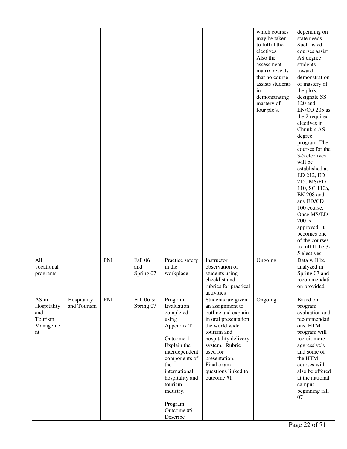|                                                          |                            |     |                             |                                                                                                                                                                                                                                  |                                                                                                                                                                                                                                                  | which courses<br>may be taken<br>to fulfill the<br>electives.<br>Also the<br>assessment<br>matrix reveals<br>that no course<br>assists students<br>in<br>demonstrating<br>mastery of<br>four plo's. | depending on<br>state needs.<br>Such listed<br>courses assist<br>AS degree<br>students<br>toward<br>demonstration<br>of mastery of<br>the plo's;<br>designate SS<br>120 and<br>EN/CO 205 as<br>the 2 required<br>electives in<br>Chuuk's AS<br>degree<br>program. The<br>courses for the<br>3-5 electives<br>will be<br>established as<br>ED 212, ED<br>215, MS/ED<br>110, SC 110a,<br>EN 208 and<br>any ED/CD<br>100 course.<br>Once MS/ED<br>$200$ is<br>approved, it<br>becomes one<br>of the courses<br>to fulfill the 3-<br>5 electives. |
|----------------------------------------------------------|----------------------------|-----|-----------------------------|----------------------------------------------------------------------------------------------------------------------------------------------------------------------------------------------------------------------------------|--------------------------------------------------------------------------------------------------------------------------------------------------------------------------------------------------------------------------------------------------|-----------------------------------------------------------------------------------------------------------------------------------------------------------------------------------------------------|-----------------------------------------------------------------------------------------------------------------------------------------------------------------------------------------------------------------------------------------------------------------------------------------------------------------------------------------------------------------------------------------------------------------------------------------------------------------------------------------------------------------------------------------------|
| All<br>vocational<br>programs                            |                            | PNI | Fall 06<br>and<br>Spring 07 | Practice safety<br>in the<br>workplace                                                                                                                                                                                           | Instructor<br>observation of<br>students using<br>checklist and<br>rubrics for practical<br>activities                                                                                                                                           | Ongoing                                                                                                                                                                                             | Data will be<br>analyzed in<br>Spring 07 and<br>recommendati<br>on provided.                                                                                                                                                                                                                                                                                                                                                                                                                                                                  |
| AS in<br>Hospitality<br>and<br>Tourism<br>Manageme<br>nt | Hospitality<br>and Tourism | PNI | Fall 06 &<br>Spring 07      | Program<br>Evaluation<br>completed<br>using<br>Appendix T<br>Outcome 1<br>Explain the<br>interdependent<br>components of<br>the<br>international<br>hospitality and<br>tourism<br>industry.<br>Program<br>Outcome #5<br>Describe | Students are given<br>an assignment to<br>outline and explain<br>in oral presentation<br>the world wide<br>tourism and<br>hospitality delivery<br>system. Rubric<br>used for<br>presentation.<br>Final exam<br>questions linked to<br>outcome #1 | Ongoing                                                                                                                                                                                             | Based on<br>program<br>evaluation and<br>recommendati<br>ons, HTM<br>program will<br>recruit more<br>aggressively<br>and some of<br>the HTM<br>courses will<br>also be offered<br>at the national<br>campus<br>beginning fall<br>07                                                                                                                                                                                                                                                                                                           |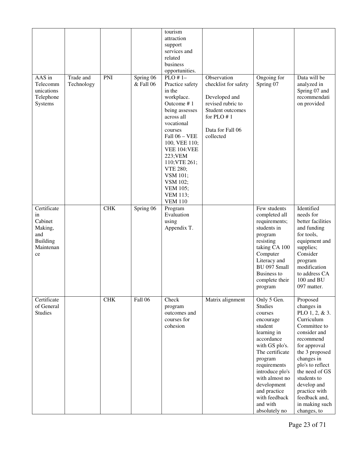|                                                                                      |                         |             |                        | tourism<br>attraction                                                                                                                                                                                                                                                                                       |                                                                                                                                                  |                                                                                                                                                                                                                                                                                 |                                                                                                                                                                                                                                                                                                |
|--------------------------------------------------------------------------------------|-------------------------|-------------|------------------------|-------------------------------------------------------------------------------------------------------------------------------------------------------------------------------------------------------------------------------------------------------------------------------------------------------------|--------------------------------------------------------------------------------------------------------------------------------------------------|---------------------------------------------------------------------------------------------------------------------------------------------------------------------------------------------------------------------------------------------------------------------------------|------------------------------------------------------------------------------------------------------------------------------------------------------------------------------------------------------------------------------------------------------------------------------------------------|
|                                                                                      |                         |             |                        | support                                                                                                                                                                                                                                                                                                     |                                                                                                                                                  |                                                                                                                                                                                                                                                                                 |                                                                                                                                                                                                                                                                                                |
|                                                                                      |                         |             |                        | services and<br>related                                                                                                                                                                                                                                                                                     |                                                                                                                                                  |                                                                                                                                                                                                                                                                                 |                                                                                                                                                                                                                                                                                                |
|                                                                                      |                         |             |                        | business                                                                                                                                                                                                                                                                                                    |                                                                                                                                                  |                                                                                                                                                                                                                                                                                 |                                                                                                                                                                                                                                                                                                |
|                                                                                      |                         |             |                        | opportunities.                                                                                                                                                                                                                                                                                              |                                                                                                                                                  |                                                                                                                                                                                                                                                                                 |                                                                                                                                                                                                                                                                                                |
| AAS in<br>Telecomm<br>unications<br>Telephone<br>Systems                             | Trade and<br>Technology | PNI         | Spring 06<br>& Fall 06 | $PLO#1-$<br>Practice safety<br>in the<br>workplace.<br>Outcome #1<br>being assesses<br>across all<br>vocational<br>courses<br>Fall 06 - VEE<br>100, VEE 110;<br><b>VEE 104:VEE</b><br>223; VEM<br>110; VTE 261;<br>VTE 280;<br>VSM 101;<br>VSM 102;<br><b>VEM 105;</b><br><b>VEM 113;</b><br><b>VEM 110</b> | Observation<br>checklist for safety<br>Developed and<br>revised rubric to<br>Student outcomes<br>for $PLO \# 1$<br>Data for Fall 06<br>collected | Ongoing for<br>Spring 07                                                                                                                                                                                                                                                        | Data will be<br>analyzed in<br>Spring 07 and<br>recommendati<br>on provided                                                                                                                                                                                                                    |
| Certificate<br>in<br>Cabinet<br>Making,<br>and<br><b>Building</b><br>Maintenan<br>ce |                         | ${\rm CHK}$ | Spring 06              | Program<br>Evaluation<br>using<br>Appendix T.                                                                                                                                                                                                                                                               |                                                                                                                                                  | Few students<br>completed all<br>requirements;<br>students in<br>program<br>resisting<br>taking CA 100<br>Computer<br>Literacy and<br>BU 097 Small<br><b>Business to</b><br>complete their<br>program                                                                           | Identified<br>needs for<br>better facilities<br>and funding<br>for tools,<br>equipment and<br>supplies;<br>Consider<br>program<br>modification<br>to address CA<br>100 and BU<br>097 matter.                                                                                                   |
| Certificate<br>of General<br><b>Studies</b>                                          |                         | <b>CHK</b>  | Fall 06                | Check<br>program<br>outcomes and<br>courses for<br>cohesion                                                                                                                                                                                                                                                 | Matrix alignment                                                                                                                                 | Only 5 Gen.<br><b>Studies</b><br>courses<br>encourage<br>student<br>learning in<br>accordance<br>with GS plo's.<br>The certificate<br>program<br>requirements<br>introduce plo's<br>with almost no<br>development<br>and practice<br>with feedback<br>and with<br>absolutely no | Proposed<br>changes in<br>PLO $1, 2, \& 3$ .<br>Curriculum<br>Committee to<br>consider and<br>recommend<br>for approval<br>the 3 proposed<br>changes in<br>plo's to reflect<br>the need of GS<br>students to<br>develop and<br>practice with<br>feedback and,<br>in making such<br>changes, to |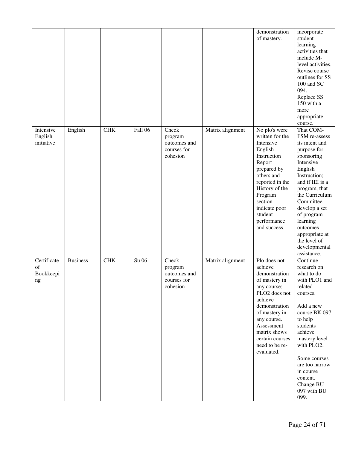|                                      |                 |             |         |                                                             |                  | demonstration<br>of mastery.                                                                                                                                                                                                           | incorporate<br>student<br>learning<br>activities that<br>include M-<br>level activities.<br>Revise course<br>outlines for SS<br>100 and SC<br>094.<br>Replace SS<br>150 with a<br>more<br>appropriate<br>course.                                                                                              |
|--------------------------------------|-----------------|-------------|---------|-------------------------------------------------------------|------------------|----------------------------------------------------------------------------------------------------------------------------------------------------------------------------------------------------------------------------------------|---------------------------------------------------------------------------------------------------------------------------------------------------------------------------------------------------------------------------------------------------------------------------------------------------------------|
| Intensive<br>English<br>initiative   | English         | ${\rm CHK}$ | Fall 06 | Check<br>program<br>outcomes and<br>courses for<br>cohesion | Matrix alignment | No plo's were<br>written for the<br>Intensive<br>English<br>Instruction<br>Report<br>prepared by<br>others and<br>reported in the<br>History of the<br>Program<br>section<br>indicate poor<br>student<br>performance<br>and success.   | That COM-<br>FSM re-assess<br>its intent and<br>purpose for<br>sponsoring<br>Intensive<br>English<br>Instruction;<br>and if IEI is a<br>program, that<br>the Curriculum<br>Committee<br>develop a set<br>of program<br>learning<br>outcomes<br>appropriate at<br>the level of<br>developmental<br>assistance. |
| Certificate<br>of<br>Bookkeepi<br>ng | <b>Business</b> | <b>CHK</b>  | Su 06   | Check<br>program<br>outcomes and<br>courses for<br>cohesion | Matrix alignment | Plo does not<br>achieve<br>demonstration<br>of mastery in<br>any course;<br>PLO2 does not<br>achieve<br>demonstration<br>of mastery in<br>any course.<br>Assessment<br>matrix shows<br>certain courses<br>need to be re-<br>evaluated. | Continue<br>research on<br>what to do<br>with PLO1 and<br>related<br>courses.<br>Add a new<br>course BK 097<br>to help<br>students<br>achieve<br>mastery level<br>with PLO2.<br>Some courses<br>are too narrow<br>in course<br>content.<br>Change BU<br>097 with BU<br>099.                                   |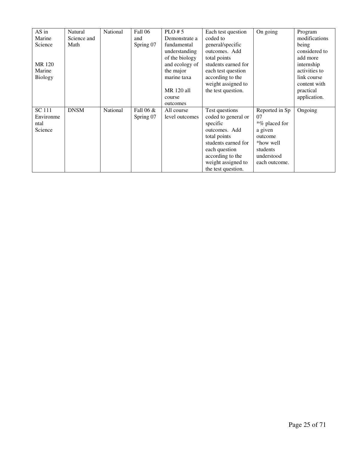| AS in        | Natural     | National | Fall 06   | $PLO \# 5$     | Each test question  | On going       | Program       |
|--------------|-------------|----------|-----------|----------------|---------------------|----------------|---------------|
| Marine       | Science and |          | and       | Demonstrate a  | coded to            |                | modifications |
| Science      | Math        |          | Spring 07 | fundamental    | general/specific    |                | being         |
|              |             |          |           | understanding  | outcomes. Add       |                | considered to |
|              |             |          |           | of the biology | total points        |                | add more      |
| <b>MR120</b> |             |          |           | and ecology of | students earned for |                | internship    |
| Marine       |             |          |           | the major      | each test question  |                | activities to |
| Biology      |             |          |           | marine taxa    | according to the    |                | link course   |
|              |             |          |           |                | weight assigned to  |                | content with  |
|              |             |          |           | MR 120 all     | the test question.  |                | practical     |
|              |             |          |           | course         |                     |                | application.  |
|              |             |          |           | outcomes       |                     |                |               |
| SC 111       | <b>DNSM</b> | National | Fall 06 & | All course     | Test questions      | Reported in Sp | Ongoing       |
| Environme    |             |          | Spring 07 | level outcomes | coded to general or | 07             |               |
| ntal         |             |          |           |                | specific            | *% placed for  |               |
| Science      |             |          |           |                | outcomes. Add       | a given        |               |
|              |             |          |           |                | total points        | outcome        |               |
|              |             |          |           |                | students earned for | *how well      |               |
|              |             |          |           |                | each question       | students       |               |
|              |             |          |           |                | according to the    | understood     |               |
|              |             |          |           |                | weight assigned to  | each outcome.  |               |
|              |             |          |           |                | the test question.  |                |               |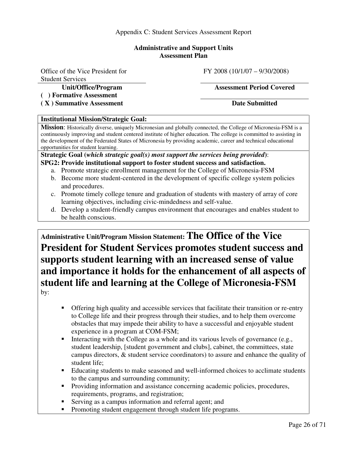#### **Administrative and Support Units Assessment Plan**

Office of the Vice President for Student Services

**( ) Formative Assessment** 

(X) Summative Assessment Date Submitted

#### FY 2008 (10/1/07 – 9/30/2008)

#### **Unit/Office/Program Assessment Period Covered**

#### **Institutional Mission/Strategic Goal:**

**Mission**: Historically diverse, uniquely Micronesian and globally connected, the College of Micronesia-FSM is a continuously improving and student centered institute of higher education. The college is committed to assisting in the development of the Federated States of Micronesia by providing academic, career and technical educational opportunities for student learning.

**Strategic Goal (***which strategic goal(s) most support the services being provided***)**: **SPG2: Provide institutional support to foster student success and satisfaction.** 

- a. Promote strategic enrollment management for the College of Micronesia-FSM
- b. Become more student-centered in the development of specific college system policies and procedures.
- c. Promote timely college tenure and graduation of students with mastery of array of core learning objectives, including civic-mindedness and self-value.
- d. Develop a student-friendly campus environment that encourages and enables student to be health conscious.

**Administrative Unit/Program Mission Statement: The Office of the Vice President for Student Services promotes student success and supports student learning with an increased sense of value and importance it holds for the enhancement of all aspects of student life and learning at the College of Micronesia-FSM** by:

- - Offering high quality and accessible services that facilitate their transition or re-entry to College life and their progress through their studies, and to help them overcome obstacles that may impede their ability to have a successful and enjoyable student experience in a program at COM-FSM;
- - Interacting with the College as a whole and its various levels of governance (e.g., student leadership, [student government and clubs], cabinet, the committees, state campus directors, & student service coordinators) to assure and enhance the quality of student life;
- Educating students to make seasoned and well-informed choices to acclimate students to the campus and surrounding community;
- Providing information and assistance concerning academic policies, procedures, requirements, programs, and registration;
- -Serving as a campus information and referral agent; and
- -Promoting student engagement through student life programs.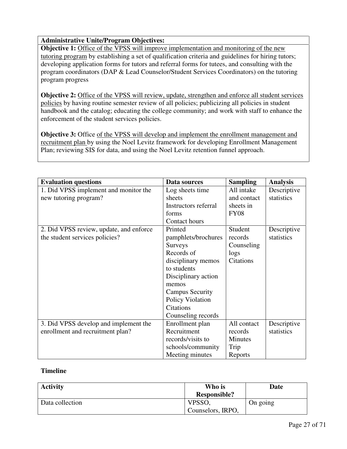#### **Administrative Unite/Program Objectives:**

**Objective 1:** Office of the VPSS will improve implementation and monitoring of the new tutoring program by establishing a set of qualification criteria and guidelines for hiring tutors; developing application forms for tutors and referral forms for tutees, and consulting with the program coordinators (DAP & Lead Counselor/Student Services Coordinators) on the tutoring program progress

**Objective 2:** Office of the VPSS will review, update, strengthen and enforce all student services policies by having routine semester review of all policies; publicizing all policies in student handbook and the catalog; educating the college community; and work with staff to enhance the enforcement of the student services policies.

**Objective 3:** Office of the VPSS will develop and implement the enrollment management and recruitment plan by using the Noel Levitz framework for developing Enrollment Management Plan; reviewing SIS for data, and using the Noel Levitz retention funnel approach.

| <b>Evaluation questions</b>             | Data sources           | <b>Sampling</b>  | <b>Analysis</b> |
|-----------------------------------------|------------------------|------------------|-----------------|
| 1. Did VPSS implement and monitor the   | Log sheets time        | All intake       | Descriptive     |
| new tutoring program?                   | sheets                 | and contact      | statistics      |
|                                         | Instructors referral   | sheets in        |                 |
|                                         | forms                  | <b>FY08</b>      |                 |
|                                         | Contact hours          |                  |                 |
| 2. Did VPSS review, update, and enforce | Printed                | Student          | Descriptive     |
| the student services policies?          | pamphlets/brochures    | records          | statistics      |
|                                         | <b>Surveys</b>         | Counseling       |                 |
|                                         | Records of             | logs             |                 |
|                                         | disciplinary memos     | <b>Citations</b> |                 |
|                                         | to students            |                  |                 |
|                                         | Disciplinary action    |                  |                 |
|                                         | memos                  |                  |                 |
|                                         | <b>Campus Security</b> |                  |                 |
|                                         | Policy Violation       |                  |                 |
|                                         | <b>Citations</b>       |                  |                 |
|                                         | Counseling records     |                  |                 |
| 3. Did VPSS develop and implement the   | Enrollment plan        | All contact      | Descriptive     |
| enrollment and recruitment plan?        | Recruitment            | records          | statistics      |
|                                         | records/visits to      | <b>Minutes</b>   |                 |
|                                         | schools/community      | Trip             |                 |
|                                         | Meeting minutes        | Reports          |                 |

#### **Timeline**

| <b>Activity</b> | Who is              | Date     |
|-----------------|---------------------|----------|
|                 | <b>Responsible?</b> |          |
| Data collection | VPSSO,              | On going |
|                 | Counselors, IRPO,   |          |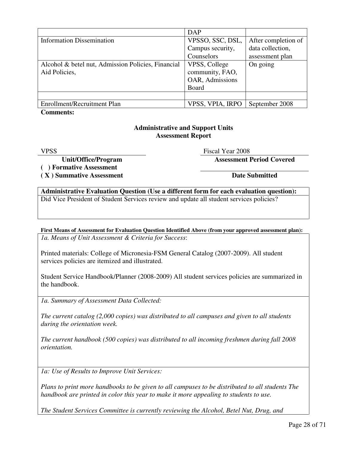|                                                    | <b>DAP</b>       |                     |
|----------------------------------------------------|------------------|---------------------|
| <b>Information Dissemination</b>                   | VPSSO, SSC, DSL, | After completion of |
|                                                    | Campus security, | data collection,    |
|                                                    | Counselors       | assessment plan     |
| Alcohol & betel nut, Admission Policies, Financial | VPSS, College    | On going            |
| Aid Policies,                                      | community, FAO,  |                     |
|                                                    | OAR, Admissions  |                     |
|                                                    | Board            |                     |
|                                                    |                  |                     |
| Enrollment/Recruitment Plan                        | VPSS, VPIA, IRPO | September 2008      |

**Comments:** 

#### **Administrative and Support Units Assessment Report**

VPSS Fiscal Year 2008

**Unit/Office/Program Assessment Period Covered** 

**( ) Formative Assessment** 

(X) Summative Assessment Date Submitted **Date Submitted** 

**Administrative Evaluation Question (Use a different form for each evaluation question):**  Did Vice President of Student Services review and update all student services policies?

**First Means of Assessment for Evaluation Question Identified Above (from your approved assessment plan):**  *1a. Means of Unit Assessment & Criteria for Success*:

Printed materials: College of Micronesia-FSM General Catalog (2007-2009). All student services policies are itemized and illustrated.

Student Service Handbook/Planner (2008-2009) All student services policies are summarized in the handbook.

*1a. Summary of Assessment Data Collected:* 

*The current catalog (2,000 copies) was distributed to all campuses and given to all students during the orientation week.* 

*The current handbook (500 copies) was distributed to all incoming freshmen during fall 2008 orientation.* 

*1a: Use of Results to Improve Unit Services:* 

*Plans to print more handbooks to be given to all campuses to be distributed to all students The handbook are printed in color this year to make it more appealing to students to use.* 

*The Student Services Committee is currently reviewing the Alcohol, Betel Nut, Drug, and*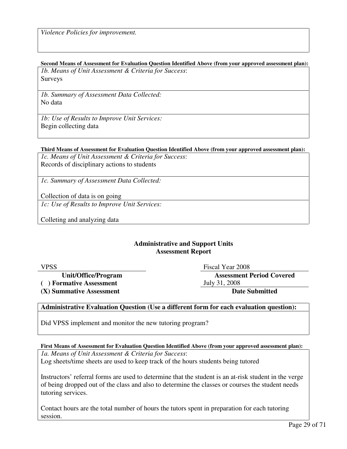#### **Second Means of Assessment for Evaluation Question Identified Above (from your approved assessment plan):**

*1b. Means of Unit Assessment & Criteria for Success*: Surveys

*1b. Summary of Assessment Data Collected:*  No data

*1b: Use of Results to Improve Unit Services:*  Begin collecting data

#### **Third Means of Assessment for Evaluation Question Identified Above (from your approved assessment plan):**

*1c. Means of Unit Assessment & Criteria for Success*: Records of disciplinary actions to students

*1c. Summary of Assessment Data Collected:* 

Collection of data is on going

*1c: Use of Results to Improve Unit Services:* 

Colleting and analyzing data

#### **Administrative and Support Units Assessment Report**

**( ) Formative Assessment** July 31, 2008

**(X) Summative Assessment Date Submitted** 

VPSS Fiscal Year 2008

**Unit/Office/Program Assessment Period Covered** 

#### **Administrative Evaluation Question (Use a different form for each evaluation question):**

Did VPSS implement and monitor the new tutoring program?

**First Means of Assessment for Evaluation Question Identified Above (from your approved assessment plan):** 

*1a. Means of Unit Assessment & Criteria for Success*: Log sheets/time sheets are used to keep track of the hours students being tutored

Instructors' referral forms are used to determine that the student is an at-risk student in the verge of being dropped out of the class and also to determine the classes or courses the student needs tutoring services.

Contact hours are the total number of hours the tutors spent in preparation for each tutoring session.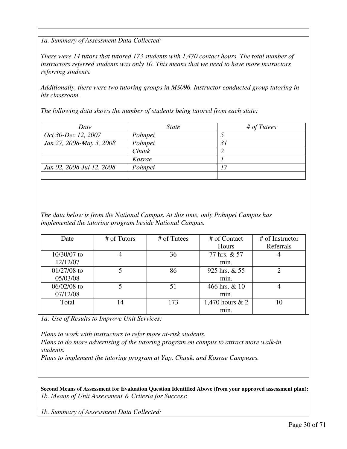*1a. Summary of Assessment Data Collected:* 

*There were 14 tutors that tutored 173 students with 1,470 contact hours. The total number of instructors referred students was only 10. This means that we need to have more instructors referring students.* 

*Additionally, there were two tutoring groups in MS096. Instructor conducted group tutoring in his classroom.* 

*The following data shows the number of students being tutored from each state:* 

| Date                      | <i>State</i> | # of <i>T</i> |
|---------------------------|--------------|---------------|
| Oct 30-Dec 12, 2007       | Pohnpei      |               |
| Jan 27, 2008-May 3, 2008  | Pohnpei      |               |
|                           | Chuuk        |               |
|                           | Kosrae       |               |
| Jun 02, 2008-Jul 12, 2008 | Pohnpei      |               |
|                           |              |               |

*The data below is from the National Campus. At this time, only Pohnpei Campus has implemented the tutoring program beside National Campus.* 

| Date          | # of Tutors | # of Tutees | # of Contact      | # of Instructor |
|---------------|-------------|-------------|-------------------|-----------------|
|               |             |             | Hours             | Referrals       |
| 10/30/07 to   |             | 36          | 77 hrs. & 57      |                 |
| 12/12/07      |             |             | min.              |                 |
| $01/27/08$ to |             | 86          | 925 hrs. & 55     |                 |
| 05/03/08      |             |             | min.              |                 |
| 06/02/08 to   |             | 51          | 466 hrs. & 10     |                 |
| 07/12/08      |             |             | min.              |                 |
| Total         | 14          | 173         | 1,470 hours $& 2$ | 10              |
|               |             |             | min.              |                 |

*1a: Use of Results to Improve Unit Services:* 

*Plans to work with instructors to refer more at-risk students. Plans to do more advertising of the tutoring program on campus to attract more walk-in students.* 

*Plans to implement the tutoring program at Yap, Chuuk, and Kosrae Campuses.* 

**Second Means of Assessment for Evaluation Question Identified Above (from your approved assessment plan):**  *1b. Means of Unit Assessment & Criteria for Success*:

*1b. Summary of Assessment Data Collected:*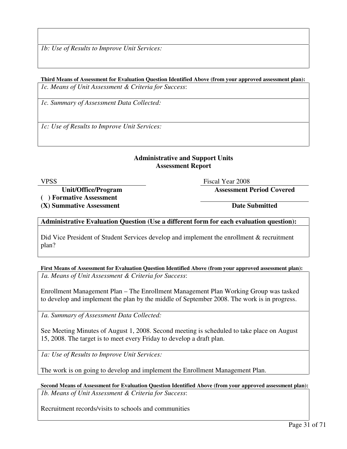*1b: Use of Results to Improve Unit Services:* 

#### **Third Means of Assessment for Evaluation Question Identified Above (from your approved assessment plan):**  *1c. Means of Unit Assessment & Criteria for Success*:

*1c. Summary of Assessment Data Collected:* 

*1c: Use of Results to Improve Unit Services:* 

#### **Administrative and Support Units Assessment Report**

VPSS Fiscal Year 2008

**Unit/Office/Program Assessment Period Covered** 

**( ) Formative Assessment** 

(X) Summative Assessment Date Submitted

#### **Administrative Evaluation Question (Use a different form for each evaluation question):**

Did Vice President of Student Services develop and implement the enrollment & recruitment plan?

**First Means of Assessment for Evaluation Question Identified Above (from your approved assessment plan):**  *1a. Means of Unit Assessment & Criteria for Success*:

Enrollment Management Plan – The Enrollment Management Plan Working Group was tasked to develop and implement the plan by the middle of September 2008. The work is in progress.

*1a. Summary of Assessment Data Collected:* 

See Meeting Minutes of August 1, 2008. Second meeting is scheduled to take place on August 15, 2008. The target is to meet every Friday to develop a draft plan.

*1a: Use of Results to Improve Unit Services:* 

The work is on going to develop and implement the Enrollment Management Plan.

**Second Means of Assessment for Evaluation Question Identified Above (from your approved assessment plan):**  *1b. Means of Unit Assessment & Criteria for Success*:

Recruitment records/visits to schools and communities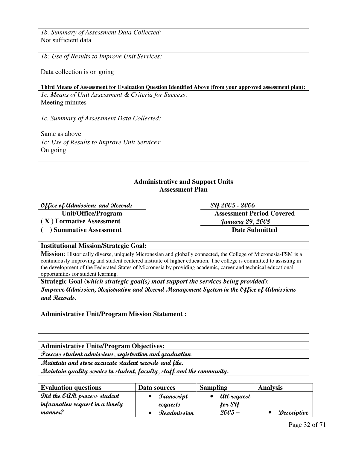*1b. Summary of Assessment Data Collected:*  Not sufficient data

*1b: Use of Results to Improve Unit Services:* 

Data collection is on going

#### **Third Means of Assessment for Evaluation Question Identified Above (from your approved assessment plan):**

*1c. Means of Unit Assessment & Criteria for Success*: Meeting minutes

*1c. Summary of Assessment Data Collected:* 

Same as above

*1c: Use of Results to Improve Unit Services:*  On going

#### **Administrative and Support Units Assessment Plan**

#### $\mathcal{O}$ ffice of Admissions and Records  $\mathcal{S}y$  2005 - 2006

**( X ) Formative Assessment** January 29, 2008

(a) Summative Assessment Date Submitted

**Unit/Office/Program Assessment Period Covered** 

#### **Institutional Mission/Strategic Goal:**

**Mission**: Historically diverse, uniquely Micronesian and globally connected, the College of Micronesia-FSM is a continuously improving and student centered institute of higher education. The college is committed to assisting in the development of the Federated States of Micronesia by providing academic, career and technical educational opportunities for student learning.

**Strategic Goal (***which strategic goal(s) most support the services being provided***)**: Improve Admission, Registration and Record Management System in the Office of Admissions and Records.

**Administrative Unit/Program Mission Statement :**

**Administrative Unite/Program Objectives:** 

Process student admissions, registration and graduation.

Maintain and store accurate student records and file.

Maintain quality service to student, faculty, staff and the community.

| <b>Evaluation questions</b>     | Data sources     | <b>Sampling</b> | <b>Analysis</b> |
|---------------------------------|------------------|-----------------|-----------------|
| Did the OAR process student     | $\int$ ranscript | All request     |                 |
| information request in a timely | requests         | for SY          |                 |
| manner?                         | Readmission      | $2005 -$        | Descriptive     |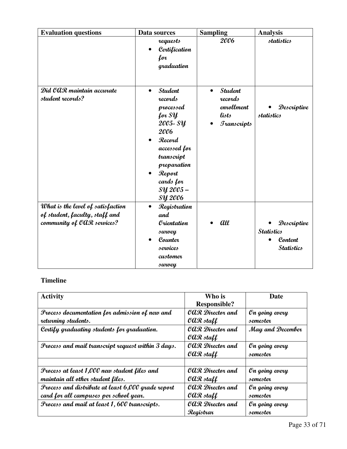| <b>Evaluation questions</b>                                                                       | Data sources                                                                                                                                                                                 | <b>Sampling</b>                                                                                                 | <b>Analysis</b>                                                  |
|---------------------------------------------------------------------------------------------------|----------------------------------------------------------------------------------------------------------------------------------------------------------------------------------------------|-----------------------------------------------------------------------------------------------------------------|------------------------------------------------------------------|
|                                                                                                   | requests<br>Certification<br>$\bullet$<br>for<br>graduation                                                                                                                                  | 2006                                                                                                            | statistics                                                       |
| Did OAR maintain accurate<br>student records?                                                     | <b>Student</b><br>$\bullet$<br>records<br>processed<br>for SY<br>2005-SY<br>2006<br>Record<br>accessed for<br>transcript<br>preparation<br>Report<br>cards for<br>SY 2005-<br><b>SY 2006</b> | <b>Student</b><br>$\bullet$<br>records<br>enrollment<br>lists<br><b><i><u><i><u>Granscripts</u></i></u></i></b> | Descriptive<br>statistics                                        |
| What is the level of satisfaction<br>of student, faculty, staff and<br>community of OAR services? | Registration<br>$\bullet$<br>and<br><i><b>Orientation</b></i><br>survey<br>Counter<br>services<br>customer<br>survey                                                                         | all                                                                                                             | Descriptive<br><b>Statistics</b><br>Content<br><b>Statistics</b> |

### **Timeline**

| <b>Activity</b>                                    | Who is                                      | Date             |
|----------------------------------------------------|---------------------------------------------|------------------|
|                                                    | <b>Responsible?</b>                         |                  |
| Process documentation for admission of new and     | OAR Director and                            | On going every   |
| returning students.                                | $\mathcal{O} \mathcal{O} \mathcal{R}$ staff | semester         |
| Certify graduating students for graduation.        | <b><i>OAR Director and</i></b>              | May and December |
|                                                    | $\mathcal{O} \mathcal{O} \mathcal{R}$ staff |                  |
| Process and mail transcript request within 3 days. | <b><i>CAR Director and</i></b>              | On going every   |
|                                                    | $\mathcal{O}QR$ staff                       | semester         |
|                                                    |                                             |                  |
| Process at least 1,000 new student files and       | OAR Director and                            | On going every   |
| maintain all other student files.                  | $\mathcal{O} \mathcal{O} \mathcal{R}$ staff | semester         |
| Process and distribute at least 6,000 grade report | <b><i>OAR Director and</i></b>              | On going every   |
| card for all campuses per school year.             | $\mathcal{O} \mathcal{O} \mathcal{R}$ staff | semester         |
| Process and mail at least 1, 600 transcripts.      | <b><i>OAR Director and</i></b>              | On going every   |
|                                                    | Registrar                                   | semester         |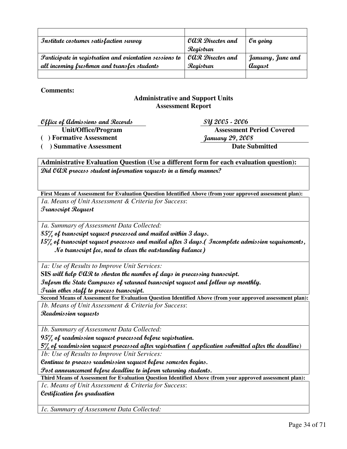| Institute costumer satisfaction survey                  | OAR Director and | $On going$                  |
|---------------------------------------------------------|------------------|-----------------------------|
|                                                         | Registrar        |                             |
| Participate in registration and orientation sessions to | OAR Director and | January, June and           |
| all incoming freshmen and transfer students             | Registrar        | <i><u><b>August</b></u></i> |
|                                                         |                  |                             |

**Comments:** 

#### **Administrative and Support Units Assessment Report**

 $\mathcal{O}$ ffice of Admissions and Records  $S\mathcal{Y}$  2005 - 2006

**Unit/Office/Program Assessment Period Covered ( ) Formative Assessment** January 29, 2008

**( ) Summative Assessment Date Submitted** 

**Administrative Evaluation Question (Use a different form for each evaluation question):**  Did OAR process student information requests in a timely manner?

**First Means of Assessment for Evaluation Question Identified Above (from your approved assessment plan):** 

*1a. Means of Unit Assessment & Criteria for Success*:

Transcript Request

*1a. Summary of Assessment Data Collected:* 

 $85\%$  of transcript request processed and mailed within  $3$  days.

15% of transcript request processes and mailed after 3 days. (Incomplete admission requirements, No transcript fee, need to clear the outstanding balance)

*1a: Use of Results to Improve Unit Services:* 

**SIS** will help OAR to shorten the number of days in processing transcript.

Inform the State Campuses of returned transcript request and follow up monthly.

Train other staff to process transcript.

**Second Means of Assessment for Evaluation Question Identified Above (from your approved assessment plan):**  *1b. Means of Unit Assessment & Criteria for Success*:

Readmission requests

*1b. Summary of Assessment Data Collected:* 

95% of readmission request processed before registration.

**5**% of readmission request processed after registration ( application submitted after the deadline)

*1b: Use of Results to Improve Unit Services:* 

Continue to process readmission request before semester begins.

Post announcement before deadline to inform returning students.

**Third Means of Assessment for Evaluation Question Identified Above (from your approved assessment plan):** 

*1c. Means of Unit Assessment & Criteria for Success*:

Certification for graduation

*1c. Summary of Assessment Data Collected:*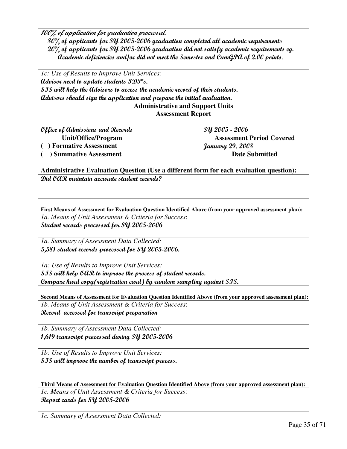100% of application for graduation processed.

 80% of applicants for SY 2005-2006 graduation completed all academic requirements 20% of applicants for SY 2005-2006 graduation did not satisfy academic requirements eg. Academic deficiencies and/or did not meet the Semester and CumGPA of 2.00 points.

*1c: Use of Results to Improve Unit Services:*  Advisor need to update students IDP's. SIS will help the Advisors to access the academic record of their students. Advisors should sign the application and prepare the initial evaluation.

#### **Administrative and Support Units Assessment Report**

 $\mathcal{O}$ ffice of Admissions and Records  $Syl 2005$  - 2006

**Unit/Office/Program Assessment Period Covered ( ) Formative Assessment** January 29, 2008

( ) Summative Assessment Date Submitted

**Administrative Evaluation Question (Use a different form for each evaluation question):**  Did OAR maintain accurate student records?

**First Means of Assessment for Evaluation Question Identified Above (from your approved assessment plan):** 

*1a. Means of Unit Assessment & Criteria for Success*: Student records processed for SY 2005-2006

*1a. Summary of Assessment Data Collected:*  5,581 student records processed for SY 2005-2006.

*1a: Use of Results to Improve Unit Services:* 

SIS will help OAR to improve the process of student records. Compare hard copy(registration card) by random sampling against SIS.

**Second Means of Assessment for Evaluation Question Identified Above (from your approved assessment plan):** 

*1b. Means of Unit Assessment & Criteria for Success*: Record accessed for transcript preparation

*1b. Summary of Assessment Data Collected:*  1,619 transcript processed during SY 2005-2006

*1b: Use of Results to Improve Unit Services:*  SIS will improve the number of transcript process.

**Third Means of Assessment for Evaluation Question Identified Above (from your approved assessment plan):** 

*1c. Means of Unit Assessment & Criteria for Success*: Report cards for SY 2005-2006

*1c. Summary of Assessment Data Collected:*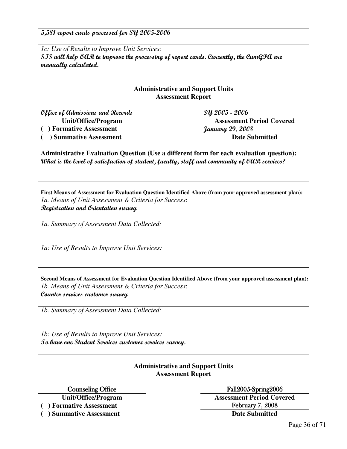5,581 report cards processed for SY 2005-2006

*1c: Use of Results to Improve Unit Services:*  SIS will help OAR to improve the processing of report cards. Currently, the CumGPA are manually calculated.

#### **Administrative and Support Units Assessment Report**

Office of Admissions and Records SY 2005 - 2006

**Unit/Office/Program Assessment Period Covered**  (a) Formative Assessment *January 29, 2008* (a) Summative Assessment Date Submitted

**Administrative Evaluation Question (Use a different form for each evaluation question):**  What is the level of satisfaction of student, faculty, staff and community of OAR services?

**First Means of Assessment for Evaluation Question Identified Above (from your approved assessment plan):** 

*1a. Means of Unit Assessment & Criteria for Success*: Registration and Orientation survey

*1a. Summary of Assessment Data Collected:* 

*1a: Use of Results to Improve Unit Services:* 

**Second Means of Assessment for Evaluation Question Identified Above (from your approved assessment plan):** 

*1b. Means of Unit Assessment & Criteria for Success*: Counter services customer survey

*1b. Summary of Assessment Data Collected:* 

*1b: Use of Results to Improve Unit Services:*  To have one Student Services customer services survey.

#### **Administrative and Support Units Assessment Report**

Counseling Office Fall2005-Spring2006

(a) Formative Assessment **February 7, 2008** 

**( ) Summative Assessment Date Submitted** 

**Unit/Office/Program Assessment Period Covered**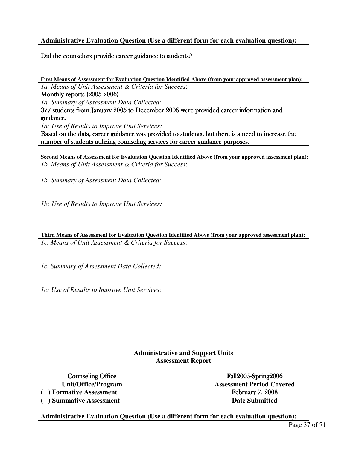**Administrative Evaluation Question (Use a different form for each evaluation question):** 

Did the counselors provide career guidance to students?

**First Means of Assessment for Evaluation Question Identified Above (from your approved assessment plan):** 

*1a. Means of Unit Assessment & Criteria for Success*:

Monthly reports  $(2005-2006)$ 

*1a. Summary of Assessment Data Collected:* 

377 students from January 2005 to December 2006 were provided career information and guidance. guidance.

*1a: Use of Results to Improve Unit Services:* 

Based on the data, career guidance was provided to students, but there is a need to increase the number of students utilizing counseling services for career guidance purposes.

**Second Means of Assessment for Evaluation Question Identified Above (from your approved assessment plan):**  *1b. Means of Unit Assessment & Criteria for Success*:

*1b. Summary of Assessment Data Collected:* 

*1b: Use of Results to Improve Unit Services:* 

**Third Means of Assessment for Evaluation Question Identified Above (from your approved assessment plan):** 

*1c. Means of Unit Assessment & Criteria for Success*:

*1c. Summary of Assessment Data Collected:* 

*1c: Use of Results to Improve Unit Services:* 

#### **Administrative and Support Units Assessment Report**

**Unit/Office/Program Assessment Period Covered** 

Counseling Office Fall2005-Spring2006

(a) Formative Assessment **February 7, 2008** (a) Summative Assessment **Date Submitted Date Submitted** 

**Administrative Evaluation Question (Use a different form for each evaluation question):**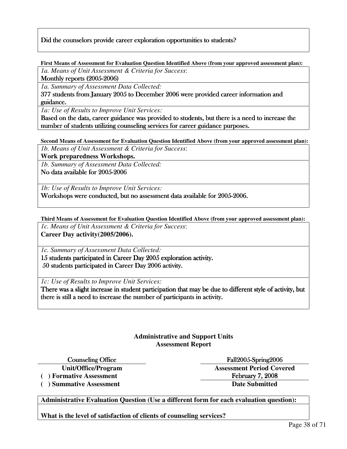#### Did the counselors provide career exploration opportunities to students?

**First Means of Assessment for Evaluation Question Identified Above (from your approved assessment plan):** 

*1a. Means of Unit Assessment & Criteria for Success*:

Monthly reports  $(2005-2006)$ 

*1a. Summary of Assessment Data Collected:* 

377 students from January 2005 to December 2006 were provided career information and guidance. guidance.

*1a: Use of Results to Improve Unit Services:* 

Based on the data, career guidance was provided to students, but there is a need to increase the number of students utilizing counseling services for career guidance purposes.

**Second Means of Assessment for Evaluation Question Identified Above (from your approved assessment plan):**  *1b. Means of Unit Assessment & Criteria for Success*:

**Work preparedness Workshops.**

*1b. Summary of Assessment Data Collected:* 

No data available for 2005-2006

*1b: Use of Results to Improve Unit Services:* 

Workshops were conducted, but no assessment data available for 2005-2006.

**Third Means of Assessment for Evaluation Question Identified Above (from your approved assessment plan):**  *1c. Means of Unit Assessment & Criteria for Success*: **Career Day activity(2005/2006).** 

*1c. Summary of Assessment Data Collected:* 

15 students participated in Career Day 2005 exploration activity. 50 students participated in Career Day 2006 activity.

*1c: Use of Results to Improve Unit Services:* 

There was a slight increase in student participation that may be due to different style of activity, but there is still a need to increase the number of participants in activity.

#### **Administrative and Support Units Assessment Report**

(a) Formative Assessment **February 7, 2008** 

(a) Summative Assessment Date Submitted

Counseling Office **Counseling Office** Tall2005-Spring2006 **Unit/Office/Program Assessment Period Covered** 

**Administrative Evaluation Question (Use a different form for each evaluation question):** 

**What is the level of satisfaction of clients of counseling services?**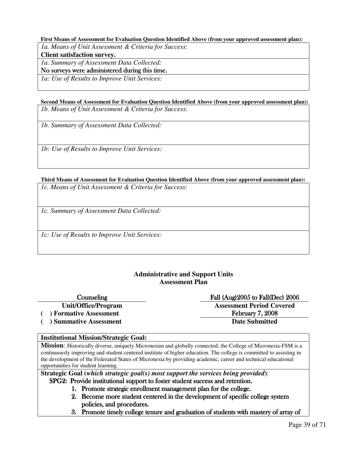#### **First Means of Assessment for Evaluation Question Identified Above (from your approved assessment plan):**

*1a. Means of Unit Assessment & Criteria for Success*:

**Client satisfaction survey.** 

*1a. Summary of Assessment Data Collected:* 

No surveys were administered during this time.

*1a: Use of Results to Improve Unit Services:* 

**Second Means of Assessment for Evaluation Question Identified Above (from your approved assessment plan):**  *1b. Means of Unit Assessment & Criteria for Success*:

*1b. Summary of Assessment Data Collected:* 

*1b: Use of Results to Improve Unit Services:* 

**Third Means of Assessment for Evaluation Question Identified Above (from your approved assessment plan):** 

*1c. Means of Unit Assessment & Criteria for Success*:

*1c. Summary of Assessment Data Collected:* 

*1c: Use of Results to Improve Unit Services:* 

#### **Administrative and Support Units Assessment Plan**

#### Counseling Fall (Aug)2005 to Fall(Dec) 2006

( ) Summative Assessment Date Submitted

### **Unit/Office/Program Assessment Period Covered**

( ) Formative Assessment **February 7, 2008** 

#### **Institutional Mission/Strategic Goal:**

**Mission**: Historically diverse, uniquely Micronesian and globally connected, the College of Micronesia-FSM is a continuously improving and student centered institute of higher education. The college is committed to assisting in the development of the Federated States of Micronesia by providing academic, career and technical educational opportunities for student learning.

**Strategic Goal (***which strategic goal(s) most support the services being provided***)**: SPG2: Provide institutional support to foster student success and retention.

- 1. Promote strategic enrollment management plan for the college.
- 2. Become more student centered in the development of specific college system policies, and procedures.
- 3. Promote timely college tenure and graduation of students with mastery of array of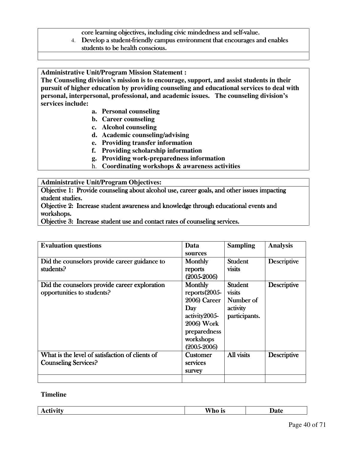core learning objectives, including civic mindedness and self-value.

4. Develop a student-friendly campus environment that encourages and enables students to be health conscious.

**Administrative Unit/Program Mission Statement :**

**The Counseling division's mission is to encourage, support, and assist students in their pursuit of higher education by providing counseling and educational services to deal with personal, interpersonal, professional, and academic issues. The counseling division's services include:** 

- **a. Personal counseling**
- **b. Career counseling**
- **c. Alcohol counseling**
- **d. Academic counseling/advising**
- **e. Providing transfer information**
- **f. Providing scholarship information**
- **g. Providing work-preparedness information**
- h. **Coordinating workshops & awareness activities**

#### **Administrative Unit/Program Objectives:**

Objective 1: Provide counseling about alcohol use, career goals, and other issues impacting student studies.

Objective 2: Increase student awareness and knowledge through educational events and workshops.

Objective 3: Increase student use and contact rates of counseling services.

| <b>Evaluation questions</b>                                                    | Data<br>sources                                                                                                                         | <b>Sampling</b>                                                    | <b>Analysis</b>    |
|--------------------------------------------------------------------------------|-----------------------------------------------------------------------------------------------------------------------------------------|--------------------------------------------------------------------|--------------------|
| Did the counselors provide career guidance to<br>students?                     | Monthly<br>reports<br>$(2005 - 2006)$                                                                                                   | Student<br>visits                                                  | <b>Descriptive</b> |
| Did the counselors provide career exploration<br>opportunities to students?    | <b>Monthly</b><br>$reports(2005-$<br>2006) Career<br>Day<br>activity2005-<br>2006) Work<br>preparedness<br>workshops<br>$(2005 - 2006)$ | <b>Student</b><br>visits<br>Number of<br>activity<br>participants. | <b>Descriptive</b> |
| What is the level of satisfaction of clients of<br><b>Counseling Services?</b> | <b>Customer</b><br>services<br>survey                                                                                                   | All visits                                                         | <b>Descriptive</b> |
|                                                                                |                                                                                                                                         |                                                                    |                    |

#### **Timeline**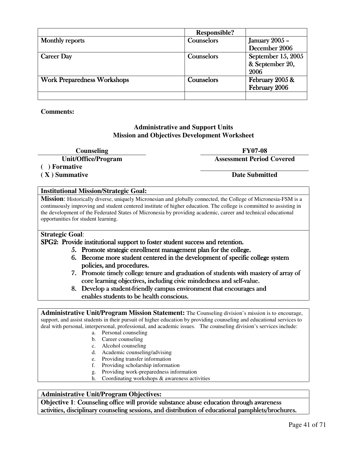|                                    | <b>Responsible?</b> |                    |
|------------------------------------|---------------------|--------------------|
| <b>Monthly reports</b>             | Counselors          | January 2005 -     |
|                                    |                     | December 2006      |
| <b>Career Day</b>                  | Counselors          | September 15, 2005 |
|                                    |                     | & September 20,    |
|                                    |                     | 2006               |
| <b>Work Preparedness Workshops</b> | Counselors          | February 2005 &    |
|                                    |                     | February 2006      |
|                                    |                     |                    |

#### **Comments:**

#### **Administrative and Support Units Mission and Objectives Development Worksheet**

**Counseling FY07-08** 

**Unit/Office/Program Assessment Period Covered** 

#### **( ) Formative**

**( X ) Summative Date Submitted** 

#### **Institutional Mission/Strategic Goal:**

**Mission**: Historically diverse, uniquely Micronesian and globally connected, the College of Micronesia-FSM is a continuously improving and student centered institute of higher education. The college is committed to assisting in the development of the Federated States of Micronesia by providing academic, career and technical educational opportunities for student learning.

#### **Strategic Goal**:

#### SPG2: Provide institutional support to foster student success and retention.

- 5. Promote strategic enrollment management plan for the college.
- 6. Become more student centered in the development of specific college system policies, and procedures.
- 7. Promote timely college tenure and graduation of students with mastery of array of core learning objectives, including civic mindedness and self-value.
- 8. Develop a student-friendly campus environment that encourages and enables students to be health conscious.

**Administrative Unit/Program Mission Statement:** The Counseling division's mission is to encourage, support, and assist students in their pursuit of higher education by providing counseling and educational services to deal with personal, interpersonal, professional, and academic issues. The counseling division's services include:

- a. Personal counseling
- b. Career counseling
- c. Alcohol counseling
- d. Academic counseling/advising
- e. Providing transfer information
- f. Providing scholarship information
- g. Providing work-preparedness information
- h. Coordinating workshops & awareness activities

#### **Administrative Unit/Program Objectives:**

**Objective 1**: Counseling office will provide substance abuse education through awareness activities, disciplinary counseling sessions, and distribution of educational pamphlets/brochures.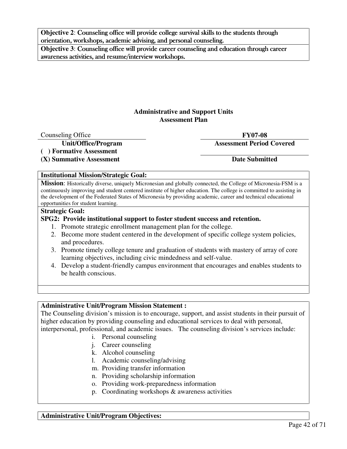**Objective 2: Counseling office will provide college survival skills to the students through** orientation, workshops, academic advising, and personal counseling.

**Objective 3**: Counseling office will provide career counseling and education through career awareness activities, and resume/interview workshops.

#### **Administrative and Support Units Assessment Plan**

Counseling Office **FY07-08** 

**( ) Formative Assessment** 

(X) Summative Assessment Date Submitted

**Unit/Office/Program Assessment Period Covered** 

#### **Institutional Mission/Strategic Goal:**

**Mission**: Historically diverse, uniquely Micronesian and globally connected, the College of Micronesia-FSM is a continuously improving and student centered institute of higher education. The college is committed to assisting in the development of the Federated States of Micronesia by providing academic, career and technical educational opportunities for student learning.

#### **Strategic Goal:**

#### **SPG2: Provide institutional support to foster student success and retention.**

- 1. Promote strategic enrollment management plan for the college.
- 2. Become more student centered in the development of specific college system policies, and procedures.
- 3. Promote timely college tenure and graduation of students with mastery of array of core learning objectives, including civic mindedness and self-value.
- 4. Develop a student-friendly campus environment that encourages and enables students to be health conscious.

#### **Administrative Unit/Program Mission Statement :**

The Counseling division's mission is to encourage, support, and assist students in their pursuit of higher education by providing counseling and educational services to deal with personal, interpersonal, professional, and academic issues. The counseling division's services include:

- i. Personal counseling
- j. Career counseling
- k. Alcohol counseling
- l. Academic counseling/advising
- m. Providing transfer information
- n. Providing scholarship information
- o. Providing work-preparedness information
- p. Coordinating workshops & awareness activities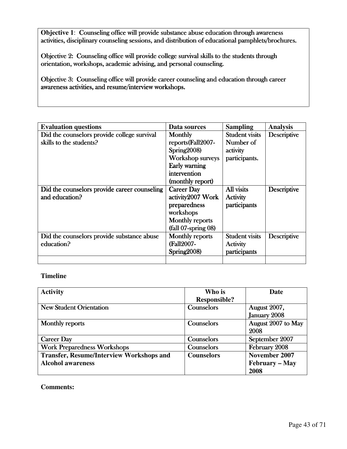**Objective 1**: Counseling office will provide substance abuse education through awareness activities, disciplinary counseling sessions, and distribution of educational pamphlets/brochures.

Objective 2: Counseling office will provide college survival skills to the students through orientation, workshops, academic advising, and personal counseling.

Objective 3: Counseling office will provide career counseling and education through career awareness activities, and resume/interview workshops.

| <b>Evaluation questions</b>                  | Data sources            | <b>Sampling</b>       | <b>Analysis</b>    |
|----------------------------------------------|-------------------------|-----------------------|--------------------|
| Did the counselors provide college survival  | <b>Monthly</b>          | <b>Student visits</b> | <b>Descriptive</b> |
| skills to the students?                      | reports(Fall2007-       | Number of             |                    |
|                                              | Spring2008)             | activity              |                    |
|                                              | <b>Workshop surveys</b> | participants.         |                    |
|                                              | Early warning           |                       |                    |
|                                              | intervention            |                       |                    |
|                                              | (monthly report)        |                       |                    |
| Did the counselors provide career counseling | <b>Career Day</b>       | All visits            | <b>Descriptive</b> |
| and education?                               | activity2007 Work       | Activity              |                    |
|                                              | preparedness            | participants          |                    |
|                                              | workshops               |                       |                    |
|                                              | <b>Monthly reports</b>  |                       |                    |
|                                              | $(fall 07-spring 08)$   |                       |                    |
| Did the counselors provide substance abuse   | <b>Monthly reports</b>  | <b>Student visits</b> | <b>Descriptive</b> |
| education?                                   | (Fall2007-              | Activity              |                    |
|                                              | Spring2008)             | participants          |                    |
|                                              |                         |                       |                    |

#### **Timeline**

| <b>Activity</b>                                 | Who is              | Date                |
|-------------------------------------------------|---------------------|---------------------|
|                                                 | <b>Responsible?</b> |                     |
| <b>New Student Orientation</b>                  | Counselors          | <b>August 2007,</b> |
|                                                 |                     | January 2008        |
| <b>Monthly reports</b>                          | Counselors          | August 2007 to May  |
|                                                 |                     | 2008                |
| <b>Career Day</b>                               | Counselors          | September 2007      |
| <b>Work Preparedness Workshops</b>              | Counselors          | February 2008       |
| <b>Transfer, Resume/Interview Workshops and</b> | <b>Counselors</b>   | November 2007       |
| <b>Alcohol awareness</b>                        |                     | February – May      |
|                                                 |                     | 2008                |

#### **Comments:**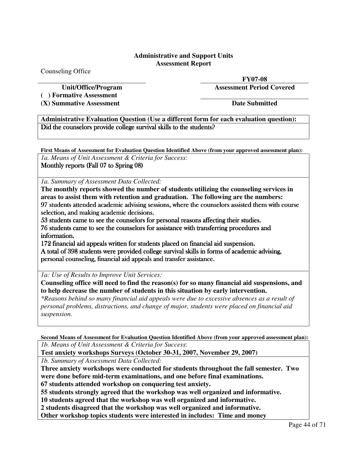#### **Administrative and Support Units Assessment Report**

Counseling Office

**( ) Formative Assessment** 

**(X) Summative Assessment Date Submitted** 

**FY07-08** 

**Unit/Office/Program Assessment Period Covered** 

**Administrative Evaluation Question (Use a different form for each evaluation question):**  Did the counselors provide college survival skills to the students?

**First Means of Assessment for Evaluation Question Identified Above (from your approved assessment plan):**  *1a. Means of Unit Assessment & Criteria for Success*:

Monthly reports (Fall 07 to Spring 08)

*1a. Summary of Assessment Data Collected:* 

**The monthly reports showed the number of students utilizing the counseling services in areas to assist them with retention and graduation. The following are the numbers:**  97 students attended academic advising sessions, where the counselors assisted them with course selection, and making academic decisions.

53 students came to see the counselors for personal reasons affecting their studies. 76 students came to see the counselors for assistance with transferring procedures and procedures and information.

172 financial aid appeals written for students placed on financial aid suspension. A total of 398 students were provided college survival skills in forms of academic advising, personal counseling, financial aid appeals and transfer assistance.

*1a: Use of Results to Improve Unit Services:* 

**Counseling office will need to find the reason(s) for so many financial aid suspensions, and to help decrease the number of students in this situation by early intervention.** 

*\*Reasons behind so many financial aid appeals were due to excessive absences as a result of personal problems, distractions, and change of major, students were placed on financial aid suspension.* 

**Second Means of Assessment for Evaluation Question Identified Above (from your approved assessment plan):**  *1b. Means of Unit Assessment & Criteria for Success*:

**Test anxiety workshops Surveys (October 30-31, 2007, November 29, 2007)** 

*1b. Summary of Assessment Data Collected:* 

**Three anxiety workshops were conducted for students throughout the fall semester. Two were done before mid-term examinations, and one before final examinations.** 

**67 students attended workshop on conquering test anxiety.** 

**55 students strongly agreed that the workshop was well organized and informative.** 

**10 students agreed that the workshop was well organized and informative.**

**2 students disagreed that the workshop was well organized and informative.** 

**Other workshop topics students were interested in includes: Time and money**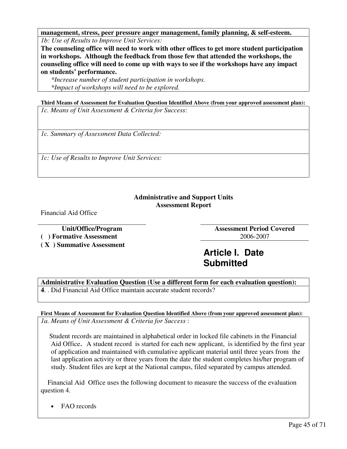**management, stress, peer pressure anger management, family planning, & self-esteem.**  *1b: Use of Results to Improve Unit Services:* 

**The counseling office will need to work with other offices to get more student participation in workshops. Although the feedback from those few that attended the workshops, the counseling office will need to come up with ways to see if the workshops have any impact on students' performance.** 

*\*Increase number of student participation in workshops. \*Impact of workshops will need to be explored.*

**Third Means of Assessment for Evaluation Question Identified Above (from your approved assessment plan):** 

*1c. Means of Unit Assessment & Criteria for Success*:

*1c. Summary of Assessment Data Collected:* 

*1c: Use of Results to Improve Unit Services:* 

#### **Administrative and Support Units Assessment Report**

Financial Aid Office

**( ) Formative Assessment** 2006-2007

**( X ) Summative Assessment** 

**Unit/Office/Program Assessment Period Covered** 

## **Article I. Date Submitted**

**Administrative Evaluation Question (Use a different form for each evaluation question): 4**. . Did Financial Aid Office maintain accurate student records?

**First Means of Assessment for Evaluation Question Identified Above (from your approved assessment plan):**  *1a. Means of Unit Assessment & Criteria for Success* :

 Student records are maintained in alphabetical order in locked file cabinets in the Financial Aid Office. A student record is started for each new applicant, is identified by the first year of application and maintained with cumulative applicant material until three years from the last application activity or three years from the date the student completes his/her program of study. Student files are kept at the National campus, filed separated by campus attended.

 Financial Aid Office uses the following document to measure the success of the evaluation question 4.

• FAO records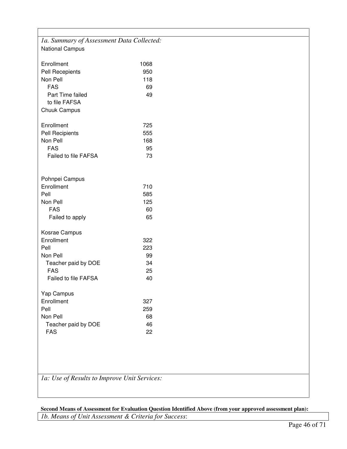| 1a. Summary of Assessment Data Collected:                |             |
|----------------------------------------------------------|-------------|
| <b>National Campus</b>                                   |             |
| Enrollment<br>Pell Recepients                            | 1068<br>950 |
| Non Pell                                                 | 118         |
| <b>FAS</b>                                               | 69          |
| Part Time failed<br>to file FAFSA<br><b>Chuuk Campus</b> | 49          |
|                                                          |             |
| Enrollment<br>Pell Recipients                            | 725<br>555  |
| Non Pell                                                 | 168         |
| <b>FAS</b>                                               | 95          |
| <b>Failed to file FAFSA</b>                              | 73          |
| Pohnpei Campus<br>Enrollment<br>Pell                     | 710<br>585  |
| Non Pell                                                 | 125         |
| <b>FAS</b>                                               | 60          |
| Failed to apply                                          | 65          |
| Kosrae Campus<br>Enrollment                              | 322         |
| Pell                                                     | 223         |
| Non Pell                                                 | 99          |
| Teacher paid by DOE                                      | 34          |
| <b>FAS</b>                                               | 25          |
| <b>Failed to file FAFSA</b>                              | 40          |
| Yap Campus<br>Enrollment                                 | 327         |
| Pell                                                     | 259         |
| Non Pell                                                 | 68          |
| Teacher paid by DOE                                      | 46          |
| <b>FAS</b>                                               | 22          |
|                                                          |             |

*1a: Use of Results to Improve Unit Services:* 

**Second Means of Assessment for Evaluation Question Identified Above (from your approved assessment plan):**  *1b. Means of Unit Assessment & Criteria for Success*: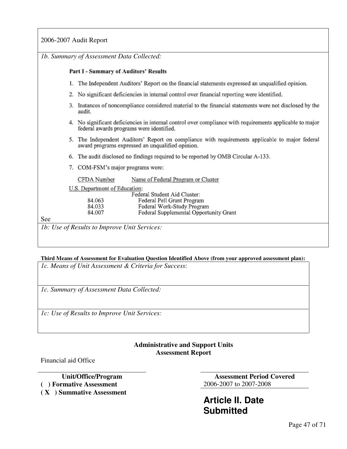2006-2007 Audit Report

|     | 1b. Summary of Assessment Data Collected:                                                                                                            |  |
|-----|------------------------------------------------------------------------------------------------------------------------------------------------------|--|
|     | Part I - Summary of Auditors' Results                                                                                                                |  |
|     | 1. The Independent Auditors' Report on the financial statements expressed an unqualified opinion.                                                    |  |
|     | 2. No significant deficiencies in internal control over financial reporting were identified.                                                         |  |
|     | 3. Instances of noncompliance considered material to the financial statements were not disclosed by the<br>audit.                                    |  |
|     | 4. No significant deficiencies in internal control over compliance with requirements applicable to major<br>federal awards programs were identified. |  |
|     | 5. The Independent Auditors' Report on compliance with requirements applicable to major federal<br>award programs expressed an unqualified opinion.  |  |
| 6.  | The audit disclosed no findings required to be reported by OMB Circular A-133.                                                                       |  |
|     | 7. COM-FSM's major programs were:                                                                                                                    |  |
|     | Name of Federal Program or Cluster<br>CFDA Number                                                                                                    |  |
|     | U.S. Department of Education:<br>Federal Student Aid Cluster:                                                                                        |  |
|     | 84.063<br>Federal Pell Grant Program                                                                                                                 |  |
|     | 84.033<br>Federal Work-Study Program                                                                                                                 |  |
|     | 84.007<br>Federal Supplemental Opportunity Grant                                                                                                     |  |
| See |                                                                                                                                                      |  |
|     | <i>lb: Use of Results to Improve Unit Services:</i>                                                                                                  |  |

### **Third Means of Assessment for Evaluation Question Identified Above (from your approved assessment plan):**

*1c. Means of Unit Assessment & Criteria for Success*:

*1c. Summary of Assessment Data Collected:* 

*1c: Use of Results to Improve Unit Services:* 

#### **Administrative and Support Units Assessment Report**

Financial aid Office

**( ) Formative Assessment** 2006-2007 to 2007-2008

**( X ) Summative Assessment** 

**Unit/Office/Program Assessment Period Covered** 

**Article II. Date Submitted**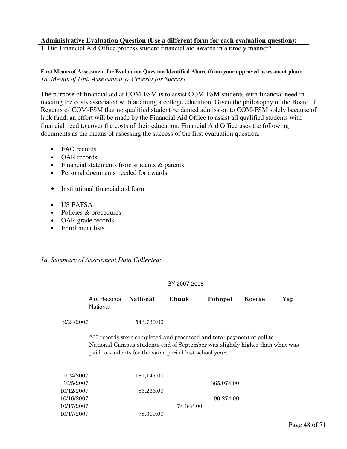#### **Administrative Evaluation Question (Use a different form for each evaluation question):**

**1**. Did Financial Aid Office process student financial aid awards in a timely manner?

**First Means of Assessment for Evaluation Question Identified Above (from your approved assessment plan):**  *1a. Means of Unit Assessment & Criteria for Success* :

The purpose of financial aid at COM-FSM is to assist COM-FSM students with financial need in meeting the costs associated with attaining a college education. Given the philosophy of the Board of Regents of COM-FSM that no qualified student be denied admission to COM-FSM solely because of lack fund, an effort will be made by the Financial Aid Office to assist all qualified students with financial need to cover the costs of their education. Financial Aid Office uses the following documents as the means of assessing the success of the first evaluation question.

- FAO records
- OAR records
- Financial statements from students & parents
- Personal documents needed for awards
- Institutional financial aid form
- US FAFSA
- Policies & procedures
- OAR grade records
- Enrollment lists

|  | SY 2007-2008 |
|--|--------------|
|--|--------------|

|            | # of Records<br>National | National                                                                                                                                                                                                       | Chuuk     | Pohnpei    | Kosrae | Yap |
|------------|--------------------------|----------------------------------------------------------------------------------------------------------------------------------------------------------------------------------------------------------------|-----------|------------|--------|-----|
| 9/24/2007  |                          | 543,730.00                                                                                                                                                                                                     |           |            |        |     |
|            |                          | 263 records were completed and processed and total payment of pell to<br>National Campus students end of September was slightly higher than what was<br>paid to students for the same period last school year. |           |            |        |     |
| 10/4/2007  |                          | 181,147.00                                                                                                                                                                                                     |           |            |        |     |
| 10/5/2007  |                          |                                                                                                                                                                                                                |           | 365,074.00 |        |     |
| 10/12/2007 |                          | 86,266.00                                                                                                                                                                                                      |           |            |        |     |
| 10/16/2007 |                          |                                                                                                                                                                                                                |           | 80,274.00  |        |     |
| 10/17/2007 |                          |                                                                                                                                                                                                                | 74,348.00 |            |        |     |
| 10/17/2007 |                          | 78,319.00                                                                                                                                                                                                      |           |            |        |     |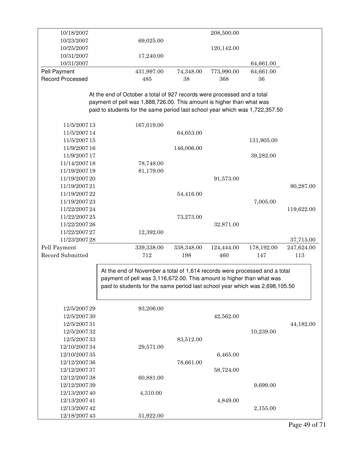| 10/18/2007              |                                                                              |            | 208,500.00 |            |            |
|-------------------------|------------------------------------------------------------------------------|------------|------------|------------|------------|
| 10/23/2007              | 69,025.00                                                                    |            |            |            |            |
| 10/25/2007              |                                                                              |            | 120,142.00 |            |            |
| 10/31/2007              | 17,240.00                                                                    |            |            |            |            |
| 10/31/2007              |                                                                              |            |            | 64,661.00  |            |
| Pell Payment            | 431,997.00                                                                   | 74,348.00  | 773,990.00 | 64,661.00  |            |
| <b>Record Processed</b> | 485                                                                          | 38         | 368        | 36         |            |
|                         |                                                                              |            |            |            |            |
|                         | At the end of October a total of 927 records were processed and a total      |            |            |            |            |
|                         | payment of pell was 1,888,726.00. This amount is higher than what was        |            |            |            |            |
|                         | paid to students for the same period last school year which was 1,722,357.50 |            |            |            |            |
|                         |                                                                              |            |            |            |            |
| 11/5/2007 13            | 167,019.00                                                                   |            |            |            |            |
| 11/5/2007 14            |                                                                              | 64,653.00  |            |            |            |
| 11/5/2007 15            |                                                                              |            |            | 131,905.00 |            |
| 11/9/2007 16            |                                                                              | 146,006.00 |            |            |            |
| 11/9/2007 17            |                                                                              |            |            | 39,282.00  |            |
| 11/14/2007 18           | 78,748.00                                                                    |            |            |            |            |
| 11/19/2007 19           | 81,179.00                                                                    |            |            |            |            |
| 11/19/2007 20           |                                                                              |            | 91,573.00  |            |            |
| 11/19/2007 21           |                                                                              |            |            |            | 90,287.00  |
| 11/19/2007 22           |                                                                              | 54,416.00  |            |            |            |
| 11/19/2007 23           |                                                                              |            |            | 7,005.00   |            |
| 11/22/2007 24           |                                                                              |            |            |            | 119,622.00 |
| 11/22/2007 25           |                                                                              | 73,273.00  |            |            |            |
| 11/22/2007 26           |                                                                              |            | 32,871.00  |            |            |
| 11/22/2007 27           | 12,392.00                                                                    |            |            |            |            |
| 11/23/2007 28           |                                                                              |            |            |            | 37,715.00  |
| Pell Payment            | 339,338.00                                                                   | 338,348.00 | 124,444.00 | 178,192.00 | 247,624.00 |
| Record Submitted        | 712                                                                          | 198        | 460        | 147        | 113        |
|                         |                                                                              |            |            |            |            |
|                         | At the end of November a total of 1,614 records were processed and a total   |            |            |            |            |
|                         | payment of pell was 3,116,672.00. This amount is higher than what was        |            |            |            |            |
|                         | paid to students for the same period last school year which was 2,698,105.50 |            |            |            |            |
|                         |                                                                              |            |            |            |            |
|                         |                                                                              |            |            |            |            |
| 12/5/2007 29            | 93,206.00                                                                    |            |            |            |            |
| 12/5/2007 30            |                                                                              |            | 42,562.00  |            |            |
| 12/5/2007 31            |                                                                              |            |            |            | 44,182.00  |
| 12/5/2007 32            |                                                                              |            |            | 10,239.00  |            |
| 12/5/2007 33            |                                                                              | 83,512.00  |            |            |            |
| 12/10/2007 34           | 29,571.00                                                                    |            |            |            |            |
| 12/10/2007 35           |                                                                              |            | 6,465.00   |            |            |
| 12/12/2007 36           |                                                                              | 78,661.00  |            |            |            |
| 12/12/2007 37           |                                                                              |            | 58,724.00  |            |            |
| 12/12/2007 38           | 60,881.00                                                                    |            |            |            |            |
| 12/12/2007 39           |                                                                              |            |            | 9,699.00   |            |
| 12/13/2007 40           | 4,310.00                                                                     |            |            |            |            |
| 12/13/2007 41           |                                                                              |            | 4,849.00   |            |            |
| 12/13/2007 42           |                                                                              |            |            | 2,155.00   |            |
| 12/18/2007 43           | 51,922.00                                                                    |            |            |            |            |
|                         |                                                                              |            |            |            |            |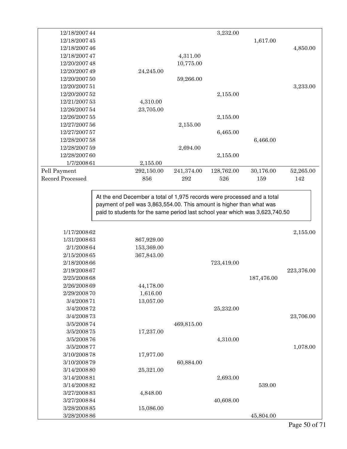| 12/18/2007 44    |                                                                                                                                                       |            | 3,232.00   |            |            |
|------------------|-------------------------------------------------------------------------------------------------------------------------------------------------------|------------|------------|------------|------------|
| 12/18/2007 45    |                                                                                                                                                       |            |            | 1,617.00   |            |
| 12/18/2007 46    |                                                                                                                                                       |            |            |            | 4,850.00   |
| 12/18/2007 47    |                                                                                                                                                       | 4,311.00   |            |            |            |
| 12/20/2007 48    |                                                                                                                                                       | 10,775.00  |            |            |            |
| 12/20/2007 49    | 24,245.00                                                                                                                                             |            |            |            |            |
| 12/20/2007 50    |                                                                                                                                                       | 59,266.00  |            |            |            |
| 12/20/2007 51    |                                                                                                                                                       |            |            |            | 3,233.00   |
| 12/20/2007 52    |                                                                                                                                                       |            | 2,155.00   |            |            |
| 12/21/2007 53    | 4,310.00                                                                                                                                              |            |            |            |            |
| 12/26/2007 54    | 23,705.00                                                                                                                                             |            |            |            |            |
| 12/26/2007 55    |                                                                                                                                                       |            | 2,155.00   |            |            |
| 12/27/2007 56    |                                                                                                                                                       | 2,155.00   |            |            |            |
| 12/27/2007 57    |                                                                                                                                                       |            | 6,465.00   |            |            |
| 12/28/2007 58    |                                                                                                                                                       |            |            | 6,466.00   |            |
| 12/28/2007 59    |                                                                                                                                                       | 2,694.00   |            |            |            |
| 12/28/2007 60    |                                                                                                                                                       |            | 2,155.00   |            |            |
|                  |                                                                                                                                                       |            |            |            |            |
| 1/7/2008 61      | 2,155.00                                                                                                                                              |            |            |            |            |
| Pell Payment     | 292,150.00                                                                                                                                            | 241,374.00 | 128,762.00 | 30,176.00  | 52,265.00  |
| Record Processed | 856                                                                                                                                                   | 292        | 526        | 159        | 142        |
|                  | payment of pell was 3,863,554.00. This amount is higher than what was<br>paid to students for the same period last school year which was 3,623,740.50 |            |            |            |            |
| 1/17/2008 62     |                                                                                                                                                       |            |            |            | 2,155.00   |
| 1/31/2008 63     | 867,929.00                                                                                                                                            |            |            |            |            |
| 2/1/2008 64      | 153,369.00                                                                                                                                            |            |            |            |            |
| 2/15/2008 65     | 367,843.00                                                                                                                                            |            |            |            |            |
| 2/18/2008 66     |                                                                                                                                                       |            | 723,419.00 |            |            |
| 2/19/2008 67     |                                                                                                                                                       |            |            |            | 223,376.00 |
| 2/25/2008 68     |                                                                                                                                                       |            |            | 187,476.00 |            |
| 2/26/2008 69     | 44,178.00                                                                                                                                             |            |            |            |            |
| 2/29/2008 70     | 1,616.00                                                                                                                                              |            |            |            |            |
| 3/4/2008 71      | 13,057.00                                                                                                                                             |            |            |            |            |
| 3/4/2008 72      |                                                                                                                                                       |            | 25,232.00  |            |            |
| 3/4/2008 73      |                                                                                                                                                       |            |            |            | 23,706.00  |
| 3/5/2008 74      |                                                                                                                                                       | 469,815.00 |            |            |            |
| 3/5/2008 75      | 17,237.00                                                                                                                                             |            |            |            |            |
| 3/5/2008 76      |                                                                                                                                                       |            | 4,310.00   |            |            |
| 3/5/2008 77      |                                                                                                                                                       |            |            |            |            |
| 3/10/2008 78     |                                                                                                                                                       |            |            |            | 1,078.00   |
| 3/10/2008 79     | 17,977.00                                                                                                                                             |            |            |            |            |
| 3/14/2008 80     |                                                                                                                                                       | 60,884.00  |            |            |            |
| 3/14/2008 81     | 25,321.00                                                                                                                                             |            |            |            |            |
|                  |                                                                                                                                                       |            | 2,693.00   |            |            |
| 3/14/2008 82     |                                                                                                                                                       |            |            | 539.00     |            |
| 3/27/2008 83     | 4,848.00                                                                                                                                              |            |            |            |            |
| 3/27/2008 84     |                                                                                                                                                       |            | 40,608.00  |            |            |
| 3/28/2008 85     | 15,086.00                                                                                                                                             |            |            |            |            |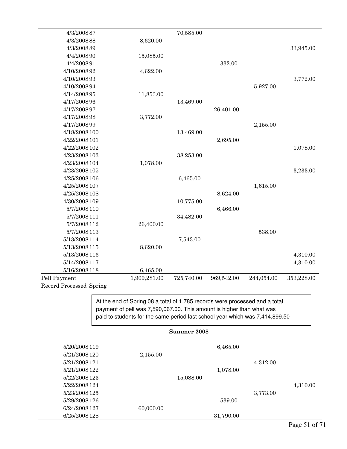| 4/3/2008 87             |                                                                                                                                                                                                                                      | 70,585.00   |            |            |            |
|-------------------------|--------------------------------------------------------------------------------------------------------------------------------------------------------------------------------------------------------------------------------------|-------------|------------|------------|------------|
| 4/3/2008 88             | 8,620.00                                                                                                                                                                                                                             |             |            |            |            |
| 4/3/2008 89             |                                                                                                                                                                                                                                      |             |            |            | 33,945.00  |
| 4/4/2008 90             | 15,085.00                                                                                                                                                                                                                            |             |            |            |            |
| 4/4/2008 91             |                                                                                                                                                                                                                                      |             | 332.00     |            |            |
| 4/10/2008 92            | 4,622.00                                                                                                                                                                                                                             |             |            |            |            |
| 4/10/2008 93            |                                                                                                                                                                                                                                      |             |            |            | 3,772.00   |
| 4/10/2008 94            |                                                                                                                                                                                                                                      |             |            | 5,927.00   |            |
| 4/14/2008 95            | 11,853.00                                                                                                                                                                                                                            |             |            |            |            |
| 4/17/2008 96            |                                                                                                                                                                                                                                      | 13,469.00   |            |            |            |
| 4/17/2008 97            |                                                                                                                                                                                                                                      |             | 26,401.00  |            |            |
| 4/17/2008 98            | 3,772.00                                                                                                                                                                                                                             |             |            |            |            |
| 4/17/2008 99            |                                                                                                                                                                                                                                      |             |            | 2,155.00   |            |
| 4/18/2008 100           |                                                                                                                                                                                                                                      | 13,469.00   |            |            |            |
| 4/22/2008 101           |                                                                                                                                                                                                                                      |             | 2,695.00   |            |            |
| 4/22/2008 102           |                                                                                                                                                                                                                                      |             |            |            | 1,078.00   |
| 4/23/2008 103           |                                                                                                                                                                                                                                      | 38,253.00   |            |            |            |
| 4/23/2008 104           | 1,078.00                                                                                                                                                                                                                             |             |            |            |            |
| 4/23/2008 105           |                                                                                                                                                                                                                                      |             |            |            | 3,233.00   |
| 4/25/2008 106           |                                                                                                                                                                                                                                      | 6,465.00    |            |            |            |
| 4/25/2008 107           |                                                                                                                                                                                                                                      |             |            | 1,615.00   |            |
| 4/25/2008 108           |                                                                                                                                                                                                                                      |             | 8,624.00   |            |            |
| 4/30/2008 109           |                                                                                                                                                                                                                                      | 10,775.00   |            |            |            |
| 5/7/2008 110            |                                                                                                                                                                                                                                      |             | 6,466.00   |            |            |
| 5/7/2008 111            |                                                                                                                                                                                                                                      | 34,482.00   |            |            |            |
| 5/7/2008 112            | 26,400.00                                                                                                                                                                                                                            |             |            |            |            |
| 5/7/2008 113            |                                                                                                                                                                                                                                      |             |            | 538.00     |            |
| 5/13/2008 114           |                                                                                                                                                                                                                                      | 7,543.00    |            |            |            |
| 5/13/2008 115           | 8,620.00                                                                                                                                                                                                                             |             |            |            |            |
| 5/13/2008 116           |                                                                                                                                                                                                                                      |             |            |            | 4,310.00   |
| 5/14/2008 117           |                                                                                                                                                                                                                                      |             |            |            | 4,310.00   |
| 5/16/2008 118           | 6,465.00                                                                                                                                                                                                                             |             |            |            |            |
| Pell Payment            | 1,909,281.00                                                                                                                                                                                                                         | 725,740.00  | 969,542.00 | 244,054.00 | 353,228.00 |
| Record Processed Spring |                                                                                                                                                                                                                                      |             |            |            |            |
|                         |                                                                                                                                                                                                                                      |             |            |            |            |
|                         | At the end of Spring 08 a total of 1,785 records were processed and a total<br>payment of pell was 7,590,067.00. This amount is higher than what was<br>paid to students for the same period last school year which was 7,414,899.50 |             |            |            |            |
|                         |                                                                                                                                                                                                                                      | Summer 2008 |            |            |            |
| 5/20/2008 119           |                                                                                                                                                                                                                                      |             | 6,465.00   |            |            |
| 5/21/2008 120           | 2,155.00                                                                                                                                                                                                                             |             |            |            |            |
| 5/21/2008 121           |                                                                                                                                                                                                                                      |             |            | 4,312.00   |            |
| 5/21/2008 122           |                                                                                                                                                                                                                                      |             | 1,078.00   |            |            |
| 5/22/2008 123           |                                                                                                                                                                                                                                      | 15,088.00   |            |            |            |
| 5/22/2008 124           |                                                                                                                                                                                                                                      |             |            |            | 4,310.00   |
| 5/23/2008 125           |                                                                                                                                                                                                                                      |             |            | 3,773.00   |            |
| 5/29/2008 126           |                                                                                                                                                                                                                                      |             | 539.00     |            |            |
| 6/24/2008 127           | 60,000.00                                                                                                                                                                                                                            |             |            |            |            |
| 6/25/2008 128           |                                                                                                                                                                                                                                      |             | 31,790.00  |            |            |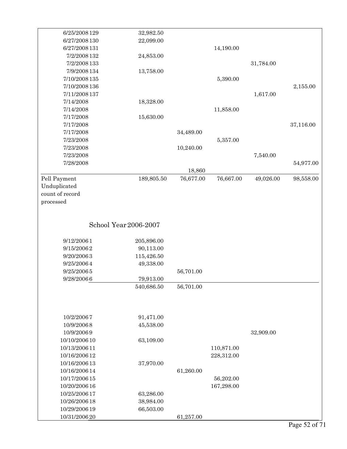| 6/25/2008 129   | 32,982.50               |           |            |           |           |
|-----------------|-------------------------|-----------|------------|-----------|-----------|
| 6/27/2008 130   | 22,099.00               |           |            |           |           |
| 6/27/2008 131   |                         |           | 14,190.00  |           |           |
| 7/2/2008 132    | 24,853.00               |           |            |           |           |
| 7/2/2008 133    |                         |           |            | 31,784.00 |           |
| 7/9/2008 134    | 13,758.00               |           |            |           |           |
| 7/10/2008 135   |                         |           | 5,390.00   |           |           |
| 7/10/2008 136   |                         |           |            |           | 2,155.00  |
| 7/11/2008 137   |                         |           |            | 1,617.00  |           |
| 7/14/2008       | 18,328.00               |           |            |           |           |
| 7/14/2008       |                         |           | 11,858.00  |           |           |
| 7/17/2008       | 15,630.00               |           |            |           |           |
| 7/17/2008       |                         |           |            |           | 37,116.00 |
| 7/17/2008       |                         | 34,489.00 |            |           |           |
| 7/23/2008       |                         |           | 5,357.00   |           |           |
| 7/23/2008       |                         | 10,240.00 |            |           |           |
| 7/23/2008       |                         |           |            | 7,540.00  |           |
| 7/28/2008       |                         |           |            |           | 54,977.00 |
|                 |                         | 18,860    |            |           |           |
| Pell Payment    | 189,805.50              | 76,677.00 | 76,667.00  | 49,026.00 | 98,558.00 |
| Unduplicated    |                         |           |            |           |           |
| count of record |                         |           |            |           |           |
| processed       |                         |           |            |           |           |
|                 |                         |           |            |           |           |
| 9/12/20061      |                         |           |            |           |           |
| 9/15/20062      | 205,896.00              |           |            |           |           |
| 9/20/20063      | 90,113.00<br>115,426.50 |           |            |           |           |
| 9/25/20064      | 49,338.00               |           |            |           |           |
|                 |                         |           |            |           |           |
| 9/25/20065      |                         | 56,701.00 |            |           |           |
| 9/28/20066      | 79,913.00               |           |            |           |           |
|                 | 540,686.50              | 56,701.00 |            |           |           |
|                 |                         |           |            |           |           |
| 10/2/20067      | 91,471.00               |           |            |           |           |
| 10/9/20068      | 45,538.00               |           |            |           |           |
| 10/9/20069      |                         |           |            | 32,909.00 |           |
| 10/10/2006 10   | 63,109.00               |           |            |           |           |
| 10/13/2006 11   |                         |           | 110,871.00 |           |           |
| 10/16/2006 12   |                         |           | 228,312.00 |           |           |
| 10/16/2006 13   | 37,970.00               |           |            |           |           |
| 10/16/2006 14   |                         | 61,260.00 |            |           |           |
| 10/17/2006 15   |                         |           | 56,202.00  |           |           |
| 10/20/2006 16   |                         |           | 167,298.00 |           |           |
| 10/25/2006 17   | 63,286.00               |           |            |           |           |
| 10/26/2006 18   | 38,984.00               |           |            |           |           |
| 10/29/2006 19   | 66,503.00               |           |            |           |           |
|                 |                         |           |            |           |           |
| 10/31/2006 20   |                         | 61,257.00 |            |           |           |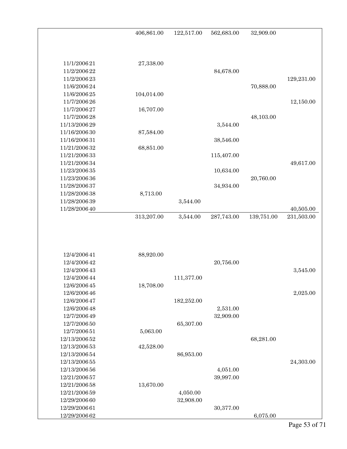| 406,861.00<br>122,517.00<br>562,683.00                | 32,909.00                             |
|-------------------------------------------------------|---------------------------------------|
|                                                       |                                       |
|                                                       |                                       |
| 11/1/2006 21<br>27,338.00                             |                                       |
| 11/2/2006 22<br>84,678.00                             |                                       |
| 11/2/2006 23                                          | 129,231.00                            |
| 11/6/2006 24                                          | 70,888.00                             |
| 11/6/2006 25<br>104,014.00                            |                                       |
| 11/7/2006 26                                          | 12,150.00                             |
| 11/7/2006 27<br>16,707.00                             |                                       |
| 11/7/2006 28                                          | 48,103.00                             |
| 11/13/2006 29<br>3,544.00                             |                                       |
| 11/16/2006 30<br>87,584.00                            |                                       |
| 11/16/2006 31<br>38,546.00                            |                                       |
| 11/21/2006 32<br>68,851.00                            |                                       |
| 11/21/2006 33<br>115,407.00                           |                                       |
| 11/21/2006 34                                         | 49,617.00                             |
| 11/23/2006 35<br>10,634.00                            |                                       |
| 11/23/2006 36                                         | 20,760.00                             |
| 11/28/2006 37<br>34,934.00                            |                                       |
| 8,713.00<br>11/28/2006 38                             |                                       |
| 11/28/2006 39<br>3,544.00                             |                                       |
| 11/28/2006 40<br>313,207.00<br>3,544.00<br>287,743.00 | 40,505.00<br>139,751.00<br>231,503.00 |
|                                                       |                                       |
|                                                       |                                       |
|                                                       |                                       |
|                                                       |                                       |
| 12/4/2006 41<br>88,920.00                             |                                       |
| 12/4/2006 42<br>20,756.00                             |                                       |
| 12/4/2006 43                                          | 3,545.00                              |
| 12/4/2006 44<br>111,377.00                            |                                       |
| 12/6/2006 45<br>18,708.00                             |                                       |
| 12/6/2006 46                                          | 2,025.00                              |
| 12/6/2006 47<br>182,252.00                            |                                       |
| 12/6/2006 48<br>2,531.00<br>12/7/2006 49              |                                       |
| 32,909.00<br>12/7/2006 50<br>65,307.00                |                                       |
| 12/7/2006 51<br>5,063.00                              |                                       |
| 12/13/2006 52                                         | 68,281.00                             |
| 12/13/2006 53<br>42,528.00                            |                                       |
| 12/13/2006 54<br>86,953.00                            |                                       |
| 12/13/2006 55                                         | 24,303.00                             |
| 12/13/2006 56<br>4,051.00                             |                                       |
| 39,997.00<br>12/21/2006 57                            |                                       |
| 13,670.00<br>12/21/2006 58                            |                                       |
| 12/21/2006 59<br>4,050.00                             |                                       |
| 12/29/2006 60<br>32,908.00                            |                                       |
| 12/29/2006 61<br>30,377.00                            |                                       |
| 12/29/2006 62                                         | 6,075.00                              |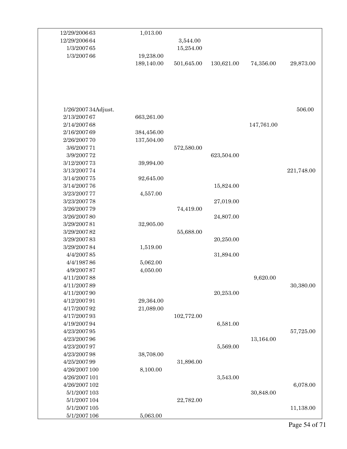| 12/29/2006 63       | 1,013.00   |            |            |            |            |
|---------------------|------------|------------|------------|------------|------------|
| 12/29/2006 64       |            | 3,544.00   |            |            |            |
| 1/3/2007 65         |            | 15,254.00  |            |            |            |
| 1/3/2007 66         | 19,238.00  |            |            |            |            |
|                     | 189,140.00 | 501,645.00 | 130,621.00 | 74,356.00  | 29,873.00  |
|                     |            |            |            |            |            |
|                     |            |            |            |            |            |
|                     |            |            |            |            |            |
|                     |            |            |            |            |            |
|                     |            |            |            |            |            |
| 1/26/2007 34Adjust. |            |            |            |            | 506.00     |
| 2/13/2007 67        | 663,261.00 |            |            |            |            |
| 2/14/2007 68        |            |            |            | 147,761.00 |            |
| 2/16/2007 69        | 384,456.00 |            |            |            |            |
| 2/26/2007 70        | 137,504.00 |            |            |            |            |
| 3/6/2007 71         |            | 572,580.00 |            |            |            |
| 3/9/2007 72         |            |            | 623,504.00 |            |            |
| 3/12/2007 73        | 39,994.00  |            |            |            |            |
| 3/13/2007 74        |            |            |            |            | 221,748.00 |
| 3/14/2007 75        | 92,645.00  |            |            |            |            |
| 3/14/2007 76        |            |            | 15,824.00  |            |            |
| 3/23/2007 77        | 4,557.00   |            |            |            |            |
| 3/23/2007 78        |            |            | 27,019.00  |            |            |
| 3/26/2007 79        |            | 74,419.00  |            |            |            |
| 3/26/200780         |            |            | 24,807.00  |            |            |
| 3/29/2007 81        | 32,905.00  |            |            |            |            |
| 3/29/2007 82        |            | 55,688.00  |            |            |            |
| 3/29/2007 83        |            |            | 20,250.00  |            |            |
| 3/29/200784         |            |            |            |            |            |
|                     | 1,519.00   |            | 31,894.00  |            |            |
| 4/4/200785          |            |            |            |            |            |
| 4/4/198786          | 5,062.00   |            |            |            |            |
| 4/9/2007 87         | 4,050.00   |            |            |            |            |
| 4/11/2007 88        |            |            |            | 9,620.00   |            |
| 4/11/2007 89        |            |            |            |            | 30,380.00  |
| 4/11/2007 90        |            |            | 20,253.00  |            |            |
| 4/12/2007 91        | 29,364.00  |            |            |            |            |
| 4/17/2007 92        | 21,089.00  |            |            |            |            |
| 4/17/2007 93        |            | 102,772.00 |            |            |            |
| 4/19/2007 94        |            |            | 6,581.00   |            |            |
| 4/23/2007 95        |            |            |            |            | 57,725.00  |
| 4/23/200796         |            |            |            | 13,164.00  |            |
| 4/23/2007 97        |            |            | 5,569.00   |            |            |
| 4/23/200798         | 38,708.00  |            |            |            |            |
| 4/25/200799         |            | 31,896.00  |            |            |            |
| 4/26/2007 100       | 8,100.00   |            |            |            |            |
| 4/26/2007 101       |            |            | 3,543.00   |            |            |
| 4/26/2007 102       |            |            |            |            | 6,078.00   |
| 5/1/2007 103        |            |            |            | 30,848.00  |            |
| 5/1/2007 104        |            | 22,782.00  |            |            |            |
| 5/1/2007 105        |            |            |            |            | 11,138.00  |
| 5/1/2007 106        | 5,063.00   |            |            |            |            |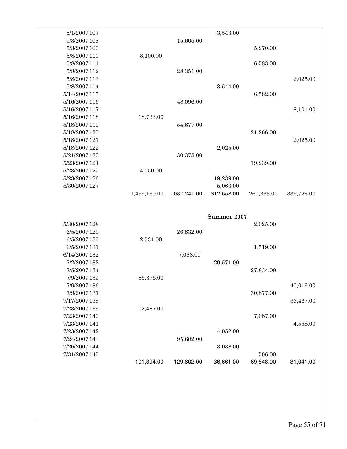| 5/1/2007 107                   |              |              | 3,543.00    |            |            |
|--------------------------------|--------------|--------------|-------------|------------|------------|
| 5/3/2007 108                   |              | 15,605.00    |             |            |            |
| 5/3/2007 109                   |              |              |             | 5,270.00   |            |
| 5/8/2007 110                   | 8,100.00     |              |             |            |            |
| 5/8/2007 111                   |              |              |             | 6,583.00   |            |
| 5/8/2007 112                   |              | 28,351.00    |             |            |            |
| 5/8/2007 113                   |              |              |             |            | 2,025.00   |
| 5/8/2007 114                   |              |              | 3,544.00    |            |            |
| 5/14/2007 115                  |              |              |             | 6,582.00   |            |
| 5/16/2007 116                  |              | 48,096.00    |             |            |            |
| 5/16/2007 117                  |              |              |             |            | 8,101.00   |
| 5/16/2007 118                  | 18,733.00    |              |             |            |            |
| 5/18/2007 119                  |              | 54,677.00    |             |            |            |
| 5/18/2007 120                  |              |              |             | 21,266.00  |            |
| 5/18/2007 121                  |              |              |             |            | 2,025.00   |
| 5/18/2007 122                  |              |              | 2,025.00    |            |            |
| 5/21/2007 123                  |              | 30,375.00    |             |            |            |
| 5/23/2007 124                  |              |              |             | 19,239.00  |            |
| 5/23/2007 125                  | 4,050.00     |              |             |            |            |
| 5/23/2007 126                  |              |              | 19,239.00   |            |            |
| 5/30/2007 127                  |              |              | 5,063.00    |            |            |
|                                | 1,499,160.00 | 1,037,241.00 | 812,658.00  | 260,333.00 | 339,726.00 |
|                                |              |              |             |            |            |
|                                |              |              |             |            |            |
|                                |              |              | Summer 2007 |            |            |
| 5/30/2007 128                  |              |              |             | 2,025.00   |            |
| 6/5/2007 129                   |              | 26,832.00    |             |            |            |
| 6/5/2007 130                   | 2,531.00     |              |             |            |            |
| 6/5/2007 131                   |              |              |             | 1,519.00   |            |
| 6/14/2007 132                  |              | 7,088.00     |             |            |            |
| 7/2/2007 133                   |              |              | 29,571.00   |            |            |
| 7/5/2007 134                   |              |              |             | 27,834.00  |            |
| 7/9/2007 135                   | 86,376.00    |              |             |            |            |
| 7/9/2007 136                   |              |              |             |            | 40,016.00  |
| 7/9/2007 137                   |              |              |             | 30,877.00  |            |
| 7/17/2007 138                  |              |              |             |            | 36,467.00  |
| 7/23/2007 139                  | 12,487.00    |              |             |            |            |
| 7/23/2007 140                  |              |              |             | 7,087.00   |            |
| 7/23/2007 141<br>7/23/2007 142 |              |              | 4,052.00    |            | 4,558.00   |
| 7/24/2007 143                  |              | 95,682.00    |             |            |            |
| 7/26/2007 144                  |              |              | 3,038.00    |            |            |
| 7/31/2007 145                  |              |              |             | 506.00     |            |
|                                | 101,394.00   | 129,602.00   | 36,661.00   | 69,848.00  | 81,041.00  |
|                                |              |              |             |            |            |
|                                |              |              |             |            |            |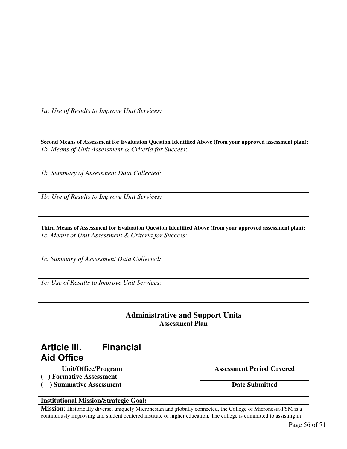*1a: Use of Results to Improve Unit Services:* 

**Second Means of Assessment for Evaluation Question Identified Above (from your approved assessment plan):**  *1b. Means of Unit Assessment & Criteria for Success*:

*1b. Summary of Assessment Data Collected:* 

*1b: Use of Results to Improve Unit Services:* 

**Third Means of Assessment for Evaluation Question Identified Above (from your approved assessment plan):**  *1c. Means of Unit Assessment & Criteria for Success*:

*1c. Summary of Assessment Data Collected:* 

*1c: Use of Results to Improve Unit Services:* 

#### **Administrative and Support Units Assessment Plan**

### **Article III. Financial Aid Office**

- **( ) Formative Assessment**
- (a) Summative Assessment Date Submitted

**Unit/Office/Program Assessment Period Covered** 

#### **Institutional Mission/Strategic Goal:**

**Mission**: Historically diverse, uniquely Micronesian and globally connected, the College of Micronesia-FSM is a continuously improving and student centered institute of higher education. The college is committed to assisting in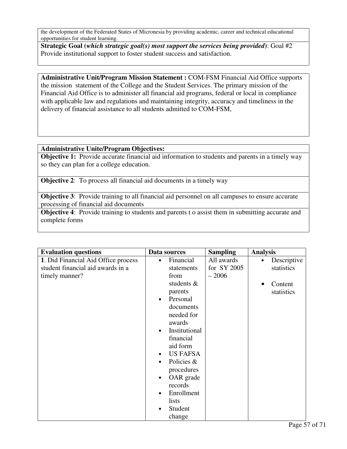the development of the Federated States of Micronesia by providing academic, career and technical educational opportunities for student learning.

**Strategic Goal (***which strategic goal(s) most support the services being provided***)**: Goal #2 Provide institutional support to foster student success and satisfaction.

**Administrative Unit/Program Mission Statement :** COM-FSM Financial Aid Office supports the mission statement of the College and the Student Services. The primary mission of the Financial Aid Office is to administer all financial aid programs, federal or local in compliance with applicable law and regulations and maintaining integrity, accuracy and timeliness in the delivery of financial assistance to all students admitted to COM-FSM,

#### **Administrative Unite/Program Objectives:**

**Objective 1:** Provide accurate financial aid information to students and parents in a timely way so they can plan for a college education.

**Objective 2:** To process all financial aid documents in a timely way

**Objective 3**: Provide training to all financial aid personnel on all campuses to ensure accurate processing of financial aid documents

**Objective 4:** Provide training to students and parents t o assist them in submitting accurate and complete forms

| <b>Evaluation questions</b>         | Data sources               | <b>Sampling</b> | <b>Analysis</b>          |
|-------------------------------------|----------------------------|-----------------|--------------------------|
| 1. Did Financial Aid Office process | Financial<br>$\bullet$     | All awards      | Descriptive<br>$\bullet$ |
| student financial aid awards in a   | statements                 | for SY 2005     | statistics               |
| timely manner?                      | from                       | $-2006$         |                          |
|                                     | students $\&$              |                 | Content<br>$\bullet$     |
|                                     | parents                    |                 | statistics               |
|                                     | Personal<br>$\bullet$      |                 |                          |
|                                     | documents                  |                 |                          |
|                                     | needed for                 |                 |                          |
|                                     | awards                     |                 |                          |
|                                     | Institutional<br>$\bullet$ |                 |                          |
|                                     | financial                  |                 |                          |
|                                     | aid form                   |                 |                          |
|                                     | <b>US FAFSA</b>            |                 |                          |
|                                     | Policies &                 |                 |                          |
|                                     | procedures                 |                 |                          |
|                                     | OAR grade<br>٠             |                 |                          |
|                                     | records                    |                 |                          |
|                                     | Enrollment                 |                 |                          |
|                                     | lists                      |                 |                          |
|                                     | Student<br>$\bullet$       |                 |                          |
|                                     | change                     |                 |                          |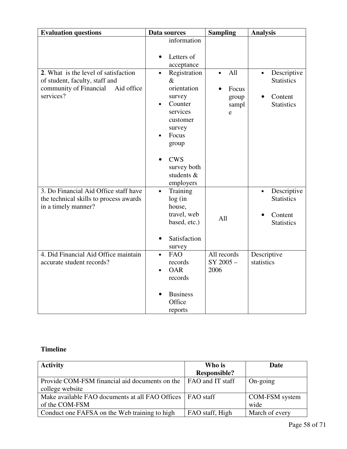| <b>Evaluation questions</b>                                                                                                 | Data sources                                                                                                                                                                                                                 | <b>Sampling</b>                                  | <b>Analysis</b>                                                               |
|-----------------------------------------------------------------------------------------------------------------------------|------------------------------------------------------------------------------------------------------------------------------------------------------------------------------------------------------------------------------|--------------------------------------------------|-------------------------------------------------------------------------------|
| 2. What is the level of satisfaction<br>of student, faculty, staff and<br>community of Financial<br>Aid office<br>services? | information<br>Letters of<br>acceptance<br>Registration<br>$\bullet$<br>$\&$<br>orientation<br>survey<br>Counter<br>$\bullet$<br>services<br>customer<br>survey<br>Focus<br>group<br><b>CWS</b><br>survey both<br>students & | All<br>$\bullet$<br>Focus<br>group<br>sampl<br>e | Descriptive<br>$\bullet$<br><b>Statistics</b><br>Content<br><b>Statistics</b> |
| 3. Do Financial Aid Office staff have<br>the technical skills to process awards<br>in a timely manner?                      | employers<br>Training<br>$\bullet$<br>log(in)<br>house,<br>travel, web<br>based, etc.)<br>Satisfaction<br>survey                                                                                                             | All                                              | Descriptive<br>$\bullet$<br><b>Statistics</b><br>Content<br><b>Statistics</b> |
| 4. Did Financial Aid Office maintain<br>accurate student records?                                                           | <b>FAO</b><br>$\bullet$<br>records<br><b>OAR</b><br>$\bullet$<br>records<br><b>Business</b><br>Office<br>reports                                                                                                             | All records<br>SY 2005-<br>2006                  | Descriptive<br>statistics                                                     |

#### **Timeline**

| <b>Activity</b>                                             | Who is                  | Date           |
|-------------------------------------------------------------|-------------------------|----------------|
|                                                             | <b>Responsible?</b>     |                |
| Provide COM-FSM financial aid documents on the              | <b>FAO</b> and IT staff | On-going       |
| college website                                             |                         |                |
| Make available FAO documents at all FAO Offices   FAO staff |                         | COM-FSM system |
| of the COM-FSM                                              |                         | wide           |
| Conduct one FAFSA on the Web training to high               | FAO staff, High         | March of every |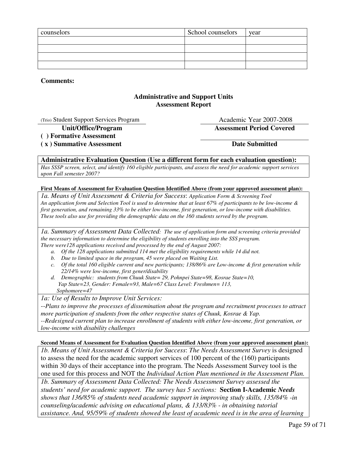| counselors | School counselors | year |
|------------|-------------------|------|
|            |                   |      |
|            |                   |      |
|            |                   |      |
|            |                   |      |

**Comments:**

#### **Administrative and Support Units Assessment Report**

(Trio) Student Support Services Program Academic Year 2007-2008

**Unit/Office/Program Assessment Period Covered ( ) Formative Assessment** 

(x) Summative Assessment Date Submitted

#### **Administrative Evaluation Question (Use a different form for each evaluation question):**

*Has SSSP screen, select, and identify 160 eligible participants, and assess the need for academic support services upon Fall semester 2007?*

#### **First Means of Assessment for Evaluation Question Identified Above (from your approved assessment plan):**

*1a. Means of Unit Assessment & Criteria for Success*: *Application Form & Screening Tool An application form and Selection Tool is used to determine that at least 67% of participants to be low-income & first generation, and remaining 33% to be either low-income, first generation, or low-income with disabilities. These tools also use for providing the demographic data on the 160 students served by the program.* 

*1a. Summary of Assessment Data Collected: The use of application form and screening criteria provided the necessary information to determine the eligibility of students enrolling into the SSS program. There were128 applications received and processed by the end of August 2007:* 

- *a. Of the 128 applications submitted 114 met the eligibility requirements while 14 did not.*
- *b. Due to limited space in the program, 45 were placed on Waiting List.*
- *c. Of the total 160 eligible current and new participants; 138/86% are Low-income & first generation while 22/14% were low-income, first gener/disability*
- *d. Demographic: students from Chuuk State= 29, Pohnpei State=98, Kosrae State=10, Yap State=23, Gender: Female=93, Male=67 Class Level: Freshmen= 113, Sophomore=47*

*1a: Use of Results to Improve Unit Services:* 

*--Plans to improve the processes of dissemination about the program and recruitment processes to attract more participation of students from the other respective states of Chuuk, Kosrae & Yap. --Redesigned current plan to increase enrollment of students with either low-income, first generation, or low-income with disability challenges* 

#### **Second Means of Assessment for Evaluation Question Identified Above (from your approved assessment plan):**

*1b. Means of Unit Assessment & Criteria for Success*: *The Needs Assessment Survey* is designed to assess the need for the academic support services of 100 percent of the (160) participants within 30 days of their acceptance into the program. The Needs Assessment Survey tool is the one used for this process and NOT the *Individual Action Plan mentioned in the Assessment Plan.*

*1b. Summary of Assessment Data Collected: The Needs Assessment Survey assessed the students' need for academic support. The survey has 5 sections:* **Section I-Academic** *Needs shows that 136/85% of students need academic support in improving study skills, 135/84% -in counseling/academic advising on educational plans, & 133/83% - in obtaining tutorial assistance. And, 95/59% of students showed the least of academic need is in the area of learning*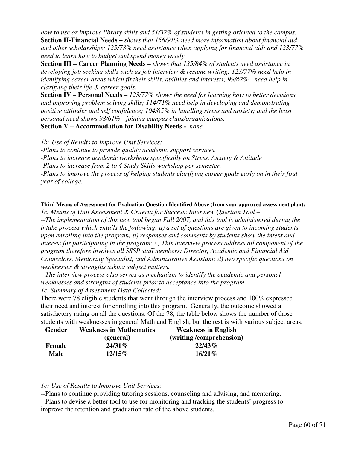*how to use or improve library skills and 51/32% of students in getting oriented to the campus.*  **Section II-Financial Needs –** *shows that 156/91% need more information about financial aid and other scholarships; 125/78% need assistance when applying for financial aid; and 123/77% need to learn how to budget and spend money wisely.* 

**Section III – Career Planning Needs –** *shows that 135/84% of students need assistance in developing job seeking skills such as job interview & resume writing; 123/77% need help in identifying career areas which fit their skills, abilities and interests; 99/62% - need help in clarifying their life & career goals.* 

**Section IV – Personal Needs –** *123/77% shows the need for learning how to better decisions and improving problem solving skills; 114/71% need help in developing and demonstrating positive attitudes and self confidence; 104/65% in handling stress and anxiety; and the least personal need shows 98/61% - joining campus clubs/organizations.* 

**Section V – Accommodation for Disability Needs -** *none*

*1b: Use of Results to Improve Unit Services:* 

*-Plans to continue to provide quality academic support services.* 

*-Plans to increase academic workshops specifically on Stress, Anxiety & Attitude*

*-Plans to increase from 2 to 4 Study Skills workshop per semester.* 

*-Plans to improve the process of helping students clarifying career goals early on in their first year of college.* 

#### **Third Means of Assessment for Evaluation Question Identified Above (from your approved assessment plan):**

*1c. Means of Unit Assessment & Criteria for Success*: *Interview Question Tool* – --*The implementation of this new tool began Fall 2007, and this tool is administered during the intake process which entails the following: a) a set of questions are given to incoming students upon enrolling into the program; b) responses and comments by students show the intent and interest for participating in the program; c) This interview process address all component of the program therefore involves all SSSP staff members: Director, Academic and Financial Aid Counselors, Mentoring Specialist, and Administrative Assistant; d) two specific questions on weaknesses & strengths asking subject matters.* 

*--The interview process also serves as mechanism to identify the academic and personal weaknesses and strengths of students prior to acceptance into the program.* 

*1c. Summary of Assessment Data Collected:* 

There were 78 eligible students that went through the interview process and 100% expressed their need and interest for enrolling into this program. Generally, the outcome showed a satisfactory rating on all the questions. Of the 78, the table below shows the number of those students with weaknesses in general Math and English, but the rest is with various subject areas.

| <b>Gender</b> | <b>Weakness in Mathematics</b> | <b>Weakness in English</b> |
|---------------|--------------------------------|----------------------------|
|               | (general)                      | (writing/comprehension)    |
| Female        | $24/31\%$                      | $22/43\%$                  |
| <b>Male</b>   | $12/15\%$                      | $16/21\%$                  |

*1c: Use of Results to Improve Unit Services:* 

--Plans to continue providing tutoring sessions, counseling and advising, and mentoring. --Plans to devise a better tool to use for monitoring and tracking the students' progress to improve the retention and graduation rate of the above students.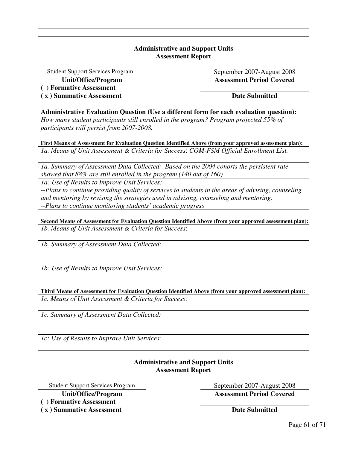#### **Administrative and Support Units Assessment Report**

Student Support Services Program September 2007-August 2008

**Unit/Office/Program Assessment Period Covered** 

**( ) Formative Assessment** 

**( x ) Summative Assessment Date Submitted** 

**Administrative Evaluation Question (Use a different form for each evaluation question):** 

*How many student participants still enrolled in the program? Program projected 55% of participants will persist from 2007-2008.*

**First Means of Assessment for Evaluation Question Identified Above (from your approved assessment plan):**  *1a. Means of Unit Assessment & Criteria for Success*: *COM-FSM Official Enrollment List.* 

*1a. Summary of Assessment Data Collected: Based on the 2004 cohorts the persistent rate showed that 88% are still enrolled in the program (140 out of 160)*

*1a: Use of Results to Improve Unit Services:* 

*--Plans to continue providing quality of services to students in the areas of advising, counseling and mentoring by revising the strategies used in advising, counseling and mentoring. --Plans to continue monitoring students' academic progress* 

**Second Means of Assessment for Evaluation Question Identified Above (from your approved assessment plan):**  *1b. Means of Unit Assessment & Criteria for Success*:

*1b. Summary of Assessment Data Collected:* 

*1b: Use of Results to Improve Unit Services:* 

**Third Means of Assessment for Evaluation Question Identified Above (from your approved assessment plan):**  *1c. Means of Unit Assessment & Criteria for Success*:

*1c. Summary of Assessment Data Collected:* 

*1c: Use of Results to Improve Unit Services:* 

#### **Administrative and Support Units Assessment Report**

Student Support Services Program September 2007-August 2008 **Unit/Office/Program Assessment Period Covered** 

**( ) Formative Assessment** 

**( x ) Summative Assessment Date Submitted**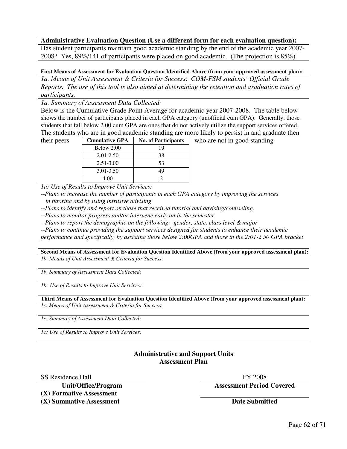#### **Administrative Evaluation Question (Use a different form for each evaluation question):**

Has student participants maintain good academic standing by the end of the academic year 2007- 2008? Yes, 89%/141 of participants were placed on good academic. (The projection is 85%)

#### **First Means of Assessment for Evaluation Question Identified Above (from your approved assessment plan):**

*1a. Means of Unit Assessment & Criteria for Success*: *COM-FSM students' Official Grade Reports. The use of this tool is also aimed at determining the retention and graduation rates of participants.* 

*1a. Summary of Assessment Data Collected:* 

Below is the Cumulative Grade Point Average for academic year 2007-2008. The table below shows the number of participants placed in each GPA category (unofficial cum GPA). Generally, those students that fall below 2.00 cum GPA are ones that do not actively utilize the support services offered. The students who are in good academic standing are more likely to persist in and graduate then

| their peers | <b>Cumulative GPA</b> | <b>No. of Participants</b> | who are not in good standing |
|-------------|-----------------------|----------------------------|------------------------------|
|             | Below 2.00            |                            |                              |
|             | $2.01 - 2.50$         | 38                         |                              |
|             | $2.51 - 3.00$         |                            |                              |
|             | $3.01 - 3.50$         | 49                         |                              |
|             | 4.00                  |                            |                              |

*1a: Use of Results to Improve Unit Services:* 

--*Plans to increase the number of participants in each GPA category by improving the services in tutoring and by using intrusive advising.* 

*--Plans to identify and report on those that received tutorial and advising/counseling.* 

*--Plans to monitor progress and/or intervene early on in the semester.* 

*--Plans to report the demographic on the following: gender, state, class level & major* 

*--Plans to continue providing the support services designed for students to enhance their academic* 

*performance and specifically, by assisting those below 2:00GPA and those in the 2:01-2.50 GPA bracket* 

**Second Means of Assessment for Evaluation Question Identified Above (from your approved assessment plan):**  *1b. Means of Unit Assessment & Criteria for Success*:

*1b. Summary of Assessment Data Collected:* 

*1b: Use of Results to Improve Unit Services:* 

**Third Means of Assessment for Evaluation Question Identified Above (from your approved assessment plan):**  *1c. Means of Unit Assessment & Criteria for Success*:

*1c. Summary of Assessment Data Collected:* 

*1c: Use of Results to Improve Unit Services:* 

#### **Administrative and Support Units Assessment Plan**

SS Residence Hall FY 2008

**(X) Formative Assessment** 

**(X) Summative Assessment** Date Submitted

**Unit/Office/Program Assessment Period Covered**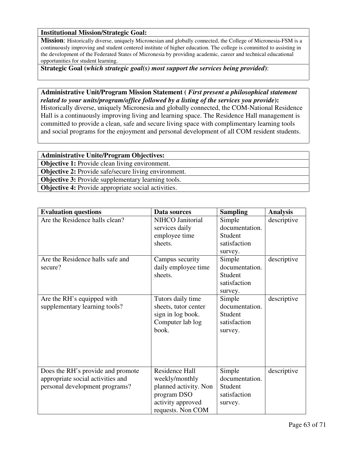#### **Institutional Mission/Strategic Goal:**

**Mission**: Historically diverse, uniquely Micronesian and globally connected, the College of Micronesia-FSM is a continuously improving and student centered institute of higher education. The college is committed to assisting in the development of the Federated States of Micronesia by providing academic, career and technical educational opportunities for student learning.

**Strategic Goal (***which strategic goal(s) most support the services being provided***)**:

**Administrative Unit/Program Mission Statement (** *First present a philosophical statement related to your units/program/office followed by a listing of the services you provide***):** Historically diverse, uniquely Micronesia and globally connected, the COM-National Residence Hall is a continuously improving living and learning space. The Residence Hall management is committed to provide a clean, safe and secure living space with complimentary learning tools and social programs for the enjoyment and personal development of all COM resident students.

**Administrative Unite/Program Objectives: Objective 1:** Provide clean living environment. **Objective 2:** Provide safe/secure living environment. **Objective 3:** Provide supplementary learning tools. **Objective 4:** Provide appropriate social activities.

| <b>Evaluation questions</b>                                                                              | Data sources                                                                                                       | <b>Sampling</b>                                                | <b>Analysis</b> |
|----------------------------------------------------------------------------------------------------------|--------------------------------------------------------------------------------------------------------------------|----------------------------------------------------------------|-----------------|
| Are the Residence halls clean?                                                                           | NIHCO Janitorial<br>services daily<br>employee time<br>sheets.                                                     | Simple<br>documentation.<br>Student<br>satisfaction<br>survey. | descriptive     |
| Are the Residence halls safe and<br>secure?                                                              | Campus security<br>daily employee time<br>sheets.                                                                  | Simple<br>documentation.<br>Student<br>satisfaction<br>survey. | descriptive     |
| Are the RH's equipped with<br>supplementary learning tools?                                              | Tutors daily time<br>sheets, tutor center<br>sign in log book.<br>Computer lab log<br>book.                        | Simple<br>documentation.<br>Student<br>satisfaction<br>survey. | descriptive     |
| Does the RH's provide and promote<br>appropriate social activities and<br>personal development programs? | Residence Hall<br>weekly/monthly<br>planned activity. Non<br>program DSO<br>activity approved<br>requests. Non COM | Simple<br>documentation.<br>Student<br>satisfaction<br>survey. | descriptive     |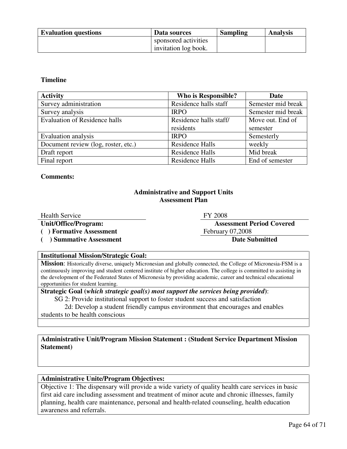| <b>Evaluation questions</b> | Data sources         | <b>Sampling</b> | <b>Analysis</b> |
|-----------------------------|----------------------|-----------------|-----------------|
|                             | sponsored activities |                 |                 |
|                             | invitation log book. |                 |                 |

#### **Timeline**

| <b>Activity</b>                      | <b>Who is Responsible?</b> | Date               |
|--------------------------------------|----------------------------|--------------------|
| Survey administration                | Residence halls staff      | Semester mid break |
| Survey analysis                      | <b>IRPO</b>                | Semester mid break |
| <b>Evaluation of Residence halls</b> | Residence halls staff/     | Move out. End of   |
|                                      | residents                  | semester           |
| Evaluation analysis                  | <b>IRPO</b>                | Semesterly         |
| Document review (log, roster, etc.)  | <b>Residence Halls</b>     | weekly             |
| Draft report                         | <b>Residence Halls</b>     | Mid break          |
| Final report                         | Residence Halls            | End of semester    |

#### **Comments:**

#### **Administrative and Support Units Assessment Plan**

Health Service FY 2008

**Unit/Office/Program: Assessment Period Covered**  (a) **Formative Assessment February 07,2008** 

(a) Summative Assessment Date Submitted

#### **Institutional Mission/Strategic Goal:**

**Mission**: Historically diverse, uniquely Micronesian and globally connected, the College of Micronesia-FSM is a continuously improving and student centered institute of higher education. The college is committed to assisting in the development of the Federated States of Micronesia by providing academic, career and technical educational opportunities for student learning.

**Strategic Goal (***which strategic goal(s) most support the services being provided***)**: SG 2: Provide institutional support to foster student success and satisfaction

 2d: Develop a student friendly campus environment that encourages and enables students to be health conscious

**Administrative Unit/Program Mission Statement : (Student Service Department Mission Statement)**

#### **Administrative Unite/Program Objectives:**

Objective 1: The dispensary will provide a wide variety of quality health care services in basic first aid care including assessment and treatment of minor acute and chronic illnesses, family planning, health care maintenance, personal and health-related counseling, health education awareness and referrals.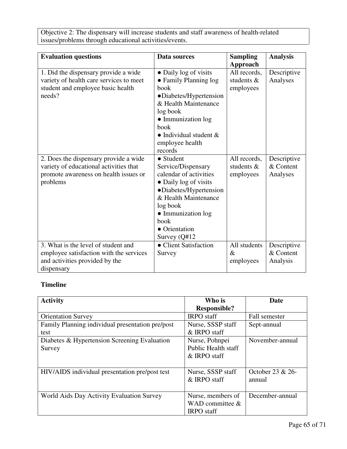Objective 2: The dispensary will increase students and staff awareness of health-related issues/problems through educational activities/events.

| <b>Evaluation questions</b>                                                                                                          | Data sources                                                                                                                                                                                                               | <b>Sampling</b>                         | <b>Analysis</b>                      |
|--------------------------------------------------------------------------------------------------------------------------------------|----------------------------------------------------------------------------------------------------------------------------------------------------------------------------------------------------------------------------|-----------------------------------------|--------------------------------------|
|                                                                                                                                      |                                                                                                                                                                                                                            | Approach                                |                                      |
| 1. Did the dispensary provide a wide<br>variety of health care services to meet<br>student and employee basic health<br>needs?       | • Daily log of visits<br>• Family Planning log<br>book<br>•Diabetes/Hypertension<br>& Health Maintenance<br>log book<br>• Immunization log<br>book<br>$\bullet$ Individual student &<br>employee health<br>records         | All records,<br>students &<br>employees | Descriptive<br>Analyses              |
| 2. Does the dispensary provide a wide<br>variety of educational activities that<br>promote awareness on health issues or<br>problems | $\bullet$ Student<br>Service/Dispensary<br>calendar of activities<br>• Daily log of visits<br>•Diabetes/Hypertension<br>& Health Maintenance<br>log book<br>• Immunization log<br>book<br>• Orientation<br>Survey $(Q#12)$ | All records,<br>students &<br>employees | Descriptive<br>& Content<br>Analyses |
| 3. What is the level of student and<br>employee satisfaction with the services<br>and activities provided by the<br>dispensary       | • Client Satisfaction<br>Survey                                                                                                                                                                                            | All students<br>$\&$<br>employees       | Descriptive<br>& Content<br>Analysis |

### **Timeline**

| <b>Activity</b>                                  | Who is                     | Date             |
|--------------------------------------------------|----------------------------|------------------|
|                                                  | <b>Responsible?</b>        |                  |
| <b>Orientation Survey</b>                        | <b>IRPO</b> staff          | Fall semester    |
| Family Planning individual presentation pre/post | Nurse, SSSP staff          | Sept-annual      |
| test                                             | & IRPO staff               |                  |
| Diabetes & Hypertension Screening Evaluation     | Nurse, Pohnpei             | November-annual  |
| Survey                                           | <b>Public Health staff</b> |                  |
|                                                  | & IRPO staff               |                  |
|                                                  |                            |                  |
| HIV/AIDS individual presentation pre/post test   | Nurse, SSSP staff          | October 23 & 26- |
|                                                  | & IRPO staff               | annual           |
|                                                  |                            |                  |
| World Aids Day Activity Evaluation Survey        | Nurse, members of          | December-annual  |
|                                                  | WAD committee $\&$         |                  |
|                                                  | <b>IRPO</b> staff          |                  |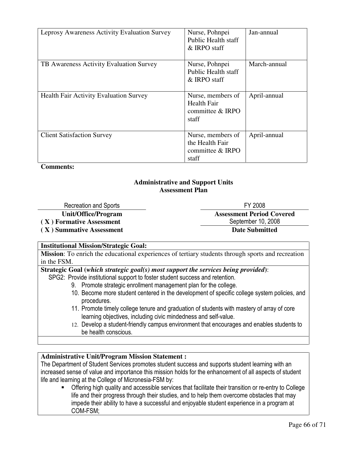| Leprosy Awareness Activity Evaluation Survey  | Nurse, Pohnpei<br><b>Public Health staff</b><br>& IRPO staff         | Jan-annual   |
|-----------------------------------------------|----------------------------------------------------------------------|--------------|
| TB Awareness Activity Evaluation Survey       | Nurse, Pohnpei<br><b>Public Health staff</b><br>& IRPO staff         | March-annual |
| <b>Health Fair Activity Evaluation Survey</b> | Nurse, members of<br><b>Health Fair</b><br>committee & IRPO<br>staff | April-annual |
| <b>Client Satisfaction Survey</b>             | Nurse, members of<br>the Health Fair<br>committee & IRPO<br>staff    | April-annual |

**Comments:**

#### **Administrative and Support Units Assessment Plan**

Recreation and Sports FY 2008 **Unit/Office/Program Assessment Period Covered**  (X) Formative Assessment **September 10, 2008 ( X ) Summative Assessment Date Submitted** 

#### **Institutional Mission/Strategic Goal:**

**Mission**: To enrich the educational experiences of tertiary students through sports and recreation in the FSM.

**Strategic Goal (***which strategic goal(s) most support the services being provided***)**:

SPG2: Provide institutional support to foster student success and retention.

- 9. Promote strategic enrollment management plan for the college.
- 10. Become more student centered in the development of specific college system policies, and procedures.
- 11. Promote timely college tenure and graduation of students with mastery of array of core learning objectives, including civic mindedness and self-value.
- 12. Develop a student-friendly campus environment that encourages and enables students to be health conscious.

#### **Administrative Unit/Program Mission Statement :**

The Department of Student Services promotes student success and supports student learning with an increased sense of value and importance this mission holds for the enhancement of all aspects of student life and learning at the College of Micronesia-FSM by:

- Offering high quality and accessible services that facilitate their transition or re-entry to College life and their progress through their studies, and to help them overcome obstacles that may impede their ability to have a successful and enjoyable student experience in a program at COM-FSM;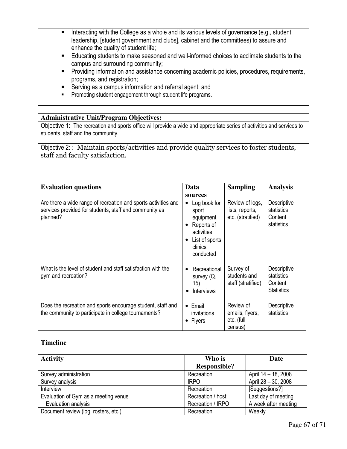- - Interacting with the College as a whole and its various levels of governance (e.g., student leadership, [student government and clubs], cabinet and the committees) to assure and enhance the quality of student life;
- Educating students to make seasoned and well-informed choices to acclimate students to the campus and surrounding community;
- **Providing information and assistance concerning academic policies, procedures, requirements,** programs, and registration;
- **EXERCT** Serving as a campus information and referral agent; and
- **•** Promoting student engagement through student life programs.

#### **Administrative Unit/Program Objectives:**

Objective 1: The recreation and sports office will provide a wide and appropriate series of activities and services to students, staff and the community.

Objective 2: : Maintain sports/activities and provide quality services to foster students, staff and faculty satisfaction.

| <b>Evaluation questions</b>                                                                                                          | Data<br>sources                                                                                                                         | <b>Sampling</b>                                         | <b>Analysis</b>                                           |
|--------------------------------------------------------------------------------------------------------------------------------------|-----------------------------------------------------------------------------------------------------------------------------------------|---------------------------------------------------------|-----------------------------------------------------------|
| Are there a wide range of recreation and sports activities and<br>services provided for students, staff and community as<br>planned? | Log book for<br>$\bullet$<br>sport<br>equipment<br>Reports of<br>$\bullet$<br>activities<br>List of sports<br>٠<br>clinics<br>conducted | Review of logs,<br>lists, reports,<br>etc. (stratified) | Descriptive<br>statistics<br>Content<br>statistics        |
| What is the level of student and staff satisfaction with the<br>gym and recreation?                                                  | Recreational<br>$\bullet$<br>survey (Q.<br>15)<br><b>Interviews</b>                                                                     | Survey of<br>students and<br>staff (stratified)         | Descriptive<br>statistics<br>Content<br><b>Statistics</b> |
| Does the recreation and sports encourage student, staff and<br>the community to participate in college tournaments?                  | Email<br>$\bullet$<br>invitations<br><b>Flyers</b><br>٠                                                                                 | Review of<br>emails, flyers,<br>etc. (full<br>census)   | Descriptive<br>statistics                                 |

#### **Timeline**

| <b>Activity</b>                      | Who is              | Date                 |  |
|--------------------------------------|---------------------|----------------------|--|
|                                      | <b>Responsible?</b> |                      |  |
| Survey administration                | Recreation          | April 14 - 18, 2008  |  |
| Survey analysis                      | <b>IRPO</b>         | April 28 - 30, 2008  |  |
| Interview                            | Recreation          | [Suggestions?]       |  |
| Evaluation of Gym as a meeting venue | Recreation / host   | Last day of meeting  |  |
| Evaluation analysis                  | Recreation / IRPO   | A week after meeting |  |
| Document review (log, rosters, etc.) | Recreation          | Weekly               |  |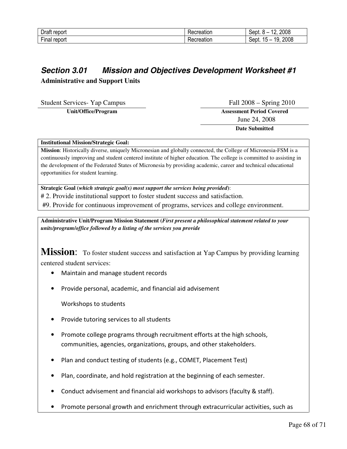| -                            | .              | 2008                          |
|------------------------------|----------------|-------------------------------|
| )rot                         | reation.       | <b>A f</b> .                  |
| epor                         | _              | ⊰ent                          |
| $- \cdot$<br>report<br>∙ınaı | ----<br>atior. | 2008<br>10<br>15<br>sept<br>- |

### **Section 3.01 Mission and Objectives Development Worksheet #1 Administrative and Support Units**

Student Services- Yap Campus Fall 2008 – Spring 2010

**Unit/Office/Program Assessment Period Covered**  June 24, 2008

 **Date Submitted** 

#### **Institutional Mission/Strategic Goal:**

**Mission**: Historically diverse, uniquely Micronesian and globally connected, the College of Micronesia-FSM is a continuously improving and student centered institute of higher education. The college is committed to assisting in the development of the Federated States of Micronesia by providing academic, career and technical educational opportunities for student learning.

**Strategic Goal (***which strategic goal(s) most support the services being provided***)**:

# 2. Provide institutional support to foster student success and satisfaction.

#9. Provide for continuous improvement of programs, services and college environment.

**Administrative Unit/Program Mission Statement (***First present a philosophical statement related to your units/program/office followed by a listing of the services you provide*

**Mission:** To foster student success and satisfaction at Yap Campus by providing learning centered student services:

- Maintain and manage student records
- Provide personal, academic, and financial aid advisement

Workshops to students

- Provide tutoring services to all students
- Promote college programs through recruitment efforts at the high schools, communities, agencies, organizations, groups, and other stakeholders.
- Plan and conduct testing of students (e.g., COMET, Placement Test)
- Plan, coordinate, and hold registration at the beginning of each semester.
- Conduct advisement and financial aid workshops to advisors (faculty & staff).
- Promote personal growth and enrichment through extracurricular activities, such as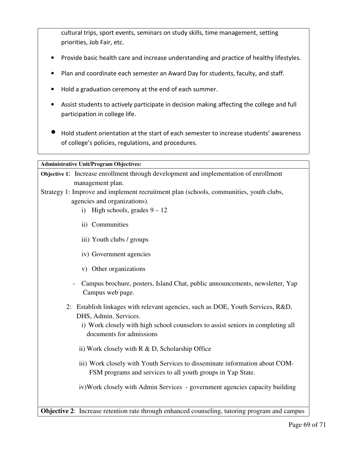cultural trips, sport events, seminars on study skills, time management, setting priorities, Job Fair, etc.

- Provide basic health care and increase understanding and practice of healthy lifestyles.
- Plan and coordinate each semester an Award Day for students, faculty, and staff.
- Hold a graduation ceremony at the end of each summer.
- Assist students to actively participate in decision making affecting the college and full participation in college life.
- Hold student orientation at the start of each semester to increase students' awareness of college's policies, regulations, and procedures.

#### **Administrative Unit/Program Objectives:**

**Objective 1**: Increase enrollment through development and implementation of enrollment management plan.

- Strategy 1: Improve and implement recruitment plan (schools, communities, youth clubs, agencies and organizations).
	- i) High schools, grades  $9 12$
	- ii) Communities
	- iii) Youth clubs / groups
	- iv) Government agencies
	- v) Other organizations
	- Campus brochure, posters, Island Chat, public announcements, newsletter, Yap Campus web page.
	- 2: Establish linkages with relevant agencies, such as DOE, Youth Services, R&D, DHS, Admin. Services.
		- i) Work closely with high school counselors to assist seniors in completing all documents for admissions
		- ii) Work closely with R & D, Scholarship Office
		- iii) Work closely with Youth Services to disseminate information about COM-FSM programs and services to all youth groups in Yap State.
		- iv)Work closely with Admin Services government agencies capacity building

**Objective 2:** Increase retention rate through enhanced counseling, tutoring program and campus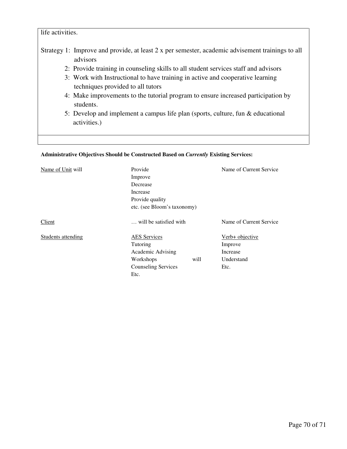#### life activities.

- Strategy 1: Improve and provide, at least 2 x per semester, academic advisement trainings to all advisors
	- 2: Provide training in counseling skills to all student services staff and advisors
	- 3: Work with Instructional to have training in active and cooperative learning techniques provided to all tutors
	- 4: Make improvements to the tutorial program to ensure increased participation by students.
	- 5: Develop and implement a campus life plan (sports, culture, fun & educational activities.)

#### **Administrative Objectives Should be Constructed Based on** *Currently* **Existing Services:**

| Name of Unit will   | Provide                                                    |            | Name of Current Service |  |                           |                        |  |                         |
|---------------------|------------------------------------------------------------|------------|-------------------------|--|---------------------------|------------------------|--|-------------------------|
|                     | Improve                                                    |            |                         |  |                           |                        |  |                         |
|                     | Decrease                                                   |            |                         |  |                           |                        |  |                         |
|                     | Increase<br>Provide quality<br>etc. (see Bloom's taxonomy) |            |                         |  |                           |                        |  |                         |
|                     |                                                            |            |                         |  | Client                    | will be satisfied with |  | Name of Current Service |
|                     |                                                            |            |                         |  | <b>Students attending</b> | <b>AES</b> Services    |  | Verb+ objective         |
| Tutoring            |                                                            | Improve    |                         |  |                           |                        |  |                         |
| Academic Advising   |                                                            | Increase   |                         |  |                           |                        |  |                         |
| Workshops           | will                                                       | Understand |                         |  |                           |                        |  |                         |
| Counseling Services |                                                            | Etc.       |                         |  |                           |                        |  |                         |
| Etc.                |                                                            |            |                         |  |                           |                        |  |                         |